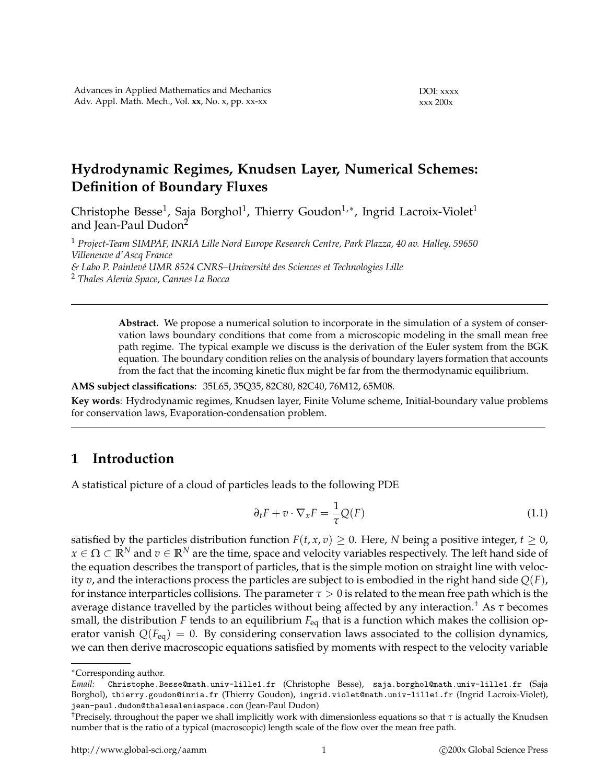# **Hydrodynamic Regimes, Knudsen Layer, Numerical Schemes: Definition of Boundary Fluxes**

Christophe Besse $^1$ , Saja Borghol $^1$ , Thierry Goudon $^{1,\ast}$ , Ingrid Lacroix-Violet $^1$ and Jean-Paul Dudon<sup>2</sup>

<sup>1</sup> *Project-Team SIMPAF, INRIA Lille Nord Europe Research Centre, Park Plazza, 40 av. Halley, 59650 Villeneuve d'Ascq France*  $&$  Labo P. Painlevé UMR 8524 CNRS–Université des Sciences et Technologies Lille <sup>2</sup> *Thales Alenia Space, Cannes La Bocca*

> **Abstract.** We propose a numerical solution to incorporate in the simulation of a system of conservation laws boundary conditions that come from a microscopic modeling in the small mean free path regime. The typical example we discuss is the derivation of the Euler system from the BGK equation. The boundary condition relies on the analysis of boundary layers formation that accounts from the fact that the incoming kinetic flux might be far from the thermodynamic equilibrium.

**AMS subject classifications**: 35L65, 35Q35, 82C80, 82C40, 76M12, 65M08.

**Key words**: Hydrodynamic regimes, Knudsen layer, Finite Volume scheme, Initial-boundary value problems for conservation laws, Evaporation-condensation problem.

# **1 Introduction**

A statistical picture of a cloud of particles leads to the following PDE

$$
\partial_t F + v \cdot \nabla_x F = \frac{1}{\tau} Q(F) \tag{1.1}
$$

satisfied by the particles distribution function  $F(t, x, v) \geq 0$ . Here, *N* being a positive integer,  $t \geq 0$ ,  $x \in \Omega \subset \mathbb{R}^N$  and  $v \in \mathbb{R}^N$  are the time, space and velocity variables respectively. The left hand side of the equation describes the transport of particles, that is the simple motion on straight line with velocity *v*, and the interactions process the particles are subject to is embodied in the right hand side *Q*(*F*), for instance interparticles collisions. The parameter  $\tau > 0$  is related to the mean free path which is the average distance travelled by the particles without being affected by any interaction.† As *τ* becomes small, the distribution *F* tends to an equilibrium  $F_{eq}$  that is a function which makes the collision operator vanish  $Q(F_{eq}) = 0$ . By considering conservation laws associated to the collision dynamics, we can then derive macroscopic equations satisfied by moments with respect to the velocity variable

<sup>∗</sup>Corresponding author.

*Email:* Christophe.Besse@math.univ-lille1.fr (Christophe Besse), saja.borghol@math.univ-lille1.fr (Saja Borghol), thierry.goudon@inria.fr (Thierry Goudon), ingrid.violet@math.univ-lille1.fr (Ingrid Lacroix-Violet), jean-paul.dudon@thalesaleniaspace.com (Jean-Paul Dudon)

<sup>&</sup>lt;sup>†</sup>Precisely, throughout the paper we shall implicitly work with dimensionless equations so that  $\tau$  is actually the Knudsen number that is the ratio of a typical (macroscopic) length scale of the flow over the mean free path.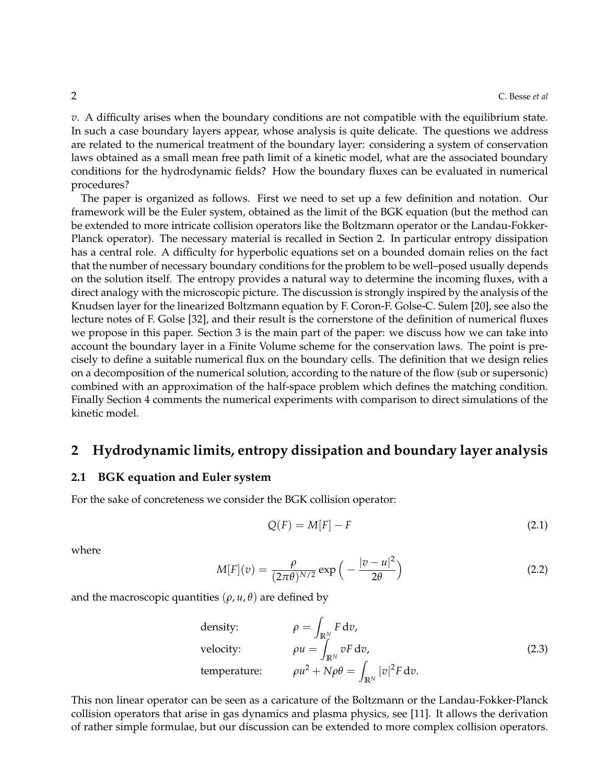*v*. A difficulty arises when the boundary conditions are not compatible with the equilibrium state. In such a case boundary layers appear, whose analysis is quite delicate. The questions we address are related to the numerical treatment of the boundary layer: considering a system of conservation laws obtained as a small mean free path limit of a kinetic model, what are the associated boundary conditions for the hydrodynamic fields? How the boundary fluxes can be evaluated in numerical procedures?

The paper is organized as follows. First we need to set up a few definition and notation. Our framework will be the Euler system, obtained as the limit of the BGK equation (but the method can be extended to more intricate collision operators like the Boltzmann operator or the Landau-Fokker-Planck operator). The necessary material is recalled in Section 2. In particular entropy dissipation has a central role. A difficulty for hyperbolic equations set on a bounded domain relies on the fact that the number of necessary boundary conditions for the problem to be well–posed usually depends on the solution itself. The entropy provides a natural way to determine the incoming fluxes, with a direct analogy with the microscopic picture. The discussion is strongly inspired by the analysis of the Knudsen layer for the linearized Boltzmann equation by F. Coron-F. Golse-C. Sulem [20], see also the lecture notes of F. Golse [32], and their result is the cornerstone of the definition of numerical fluxes we propose in this paper. Section 3 is the main part of the paper: we discuss how we can take into account the boundary layer in a Finite Volume scheme for the conservation laws. The point is precisely to define a suitable numerical flux on the boundary cells. The definition that we design relies on a decomposition of the numerical solution, according to the nature of the flow (sub or supersonic) combined with an approximation of the half-space problem which defines the matching condition. Finally Section 4 comments the numerical experiments with comparison to direct simulations of the kinetic model.

## **2 Hydrodynamic limits, entropy dissipation and boundary layer analysis**

#### **2.1 BGK equation and Euler system**

For the sake of concreteness we consider the BGK collision operator:

$$
Q(F) = M[F] - F \tag{2.1}
$$

where

$$
M[F](v) = \frac{\rho}{(2\pi\theta)^{N/2}} \exp\left(-\frac{|v-u|^2}{2\theta}\right)
$$
\n(2.2)

and the macroscopic quantities ( $\rho$ ,  $u$ ,  $\theta$ ) are defined by

density: 
$$
\rho = \int_{\mathbb{R}^N} F \, dv
$$
,  
velocity:  $\rho u = \int_{\mathbb{R}^N} v F \, dv$ ,  
temperature:  $\rho u^2 + N \rho \theta = \int_{\mathbb{R}^N} |v|^2 F \, dv$ . (2.3)

This non linear operator can be seen as a caricature of the Boltzmann or the Landau-Fokker-Planck collision operators that arise in gas dynamics and plasma physics, see [11]. It allows the derivation of rather simple formulae, but our discussion can be extended to more complex collision operators.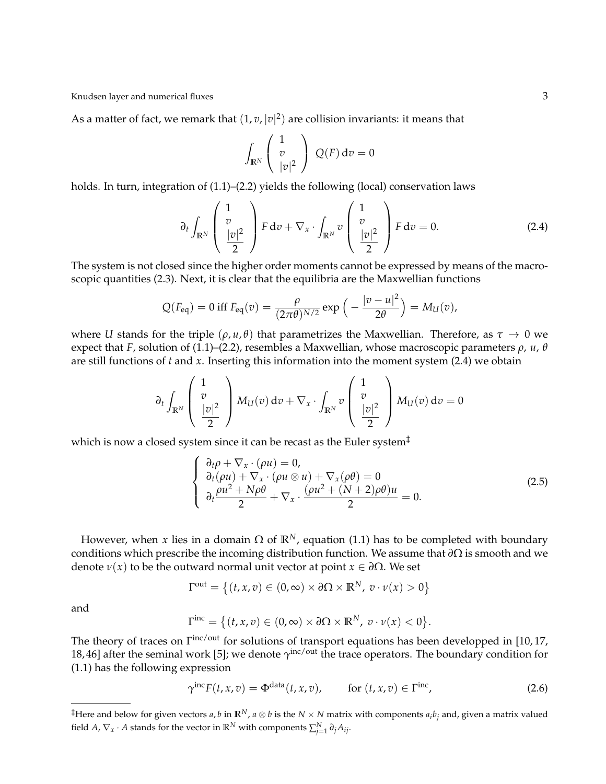As a matter of fact, we remark that  $(1, v, |v|^2)$  are collision invariants: it means that

$$
\int_{\mathbb{R}^N} \left( \begin{array}{c} 1 \\ v \\ |v|^2 \end{array} \right) Q(F) dv = 0
$$

holds. In turn, integration of (1.1)–(2.2) yields the following (local) conservation laws

$$
\partial_t \int_{\mathbb{R}^N} \left( \begin{array}{c} 1 \\ v \\ \frac{|v|^2}{2} \end{array} \right) F dv + \nabla_x \cdot \int_{\mathbb{R}^N} v \left( \begin{array}{c} 1 \\ v \\ \frac{|v|^2}{2} \end{array} \right) F dv = 0.
$$
 (2.4)

The system is not closed since the higher order moments cannot be expressed by means of the macroscopic quantities (2.3). Next, it is clear that the equilibria are the Maxwellian functions

$$
Q(F_{\text{eq}}) = 0 \text{ iff } F_{\text{eq}}(v) = \frac{\rho}{(2\pi\theta)^{N/2}} \exp\left(-\frac{|v-u|^2}{2\theta}\right) = M_U(v),
$$

where *U* stands for the triple  $(\rho, u, \theta)$  that parametrizes the Maxwellian. Therefore, as  $\tau \to 0$  we expect that *F*, solution of (1.1)–(2.2), resembles a Maxwellian, whose macroscopic parameters *ρ*, *u*, *θ* are still functions of *t* and *x*. Inserting this information into the moment system (2.4) we obtain

$$
\partial_t \int_{\mathbb{R}^N} \left( \begin{array}{c} 1 \\ v \\ \frac{|v|^2}{2} \end{array} \right) M_U(v) \, \text{d}v + \nabla_x \cdot \int_{\mathbb{R}^N} v \left( \begin{array}{c} 1 \\ v \\ \frac{|v|^2}{2} \end{array} \right) M_U(v) \, \text{d}v = 0
$$

which is now a closed system since it can be recast as the Euler system‡

$$
\begin{cases}\n\frac{\partial_t \rho + \nabla_x \cdot (\rho u) = 0, \\
\frac{\partial_t (\rho u) + \nabla_x \cdot (\rho u \otimes u) + \nabla_x (\rho \theta) = 0}{\partial_t \frac{\rho u^2 + N \rho \theta}{2} + \nabla_x \cdot \frac{(\rho u^2 + (N + 2) \rho \theta) u}{2} = 0.\n\end{cases}
$$
\n(2.5)

However, when *x* lies in a domain  $\Omega$  of  $\mathbb{R}^N$ , equation (1.1) has to be completed with boundary conditions which prescribe the incoming distribution function. We assume that *∂*Ω is smooth and we denote  $\nu(x)$  to be the outward normal unit vector at point  $x \in \partial \Omega$ . We set

$$
\Gamma^{\text{out}} = \left\{ (t, x, v) \in (0, \infty) \times \partial \Omega \times \mathbb{R}^N, \ v \cdot \nu(x) > 0 \right\}
$$

and

$$
\Gamma^{\text{inc}} = \big\{ (t, x, v) \in (0, \infty) \times \partial \Omega \times \mathbb{R}^N, \ v \cdot \nu(x) < 0 \big\}.
$$

The theory of traces on  $\Gamma^{\text{inc/out}}$  for solutions of transport equations has been developped in [10, 17, 18, 46] after the seminal work [5]; we denote  $\gamma^{\text{inc}/\text{out}}$  the trace operators. The boundary condition for (1.1) has the following expression

$$
\gamma^{\text{inc}} F(t, x, v) = \Phi^{\text{data}}(t, x, v), \qquad \text{for } (t, x, v) \in \Gamma^{\text{inc}}, \tag{2.6}
$$

<sup>&</sup>lt;sup>‡</sup>Here and below for given vectors *a*, *b* in  $\mathbb{R}^N$ , *a*  $\otimes$  *b* is the *N* × *N* matrix with components *a*<sub>*i*</sub>*b*<sub>*j*</sub> and, given a matrix valued field *A*,  $\nabla_x \cdot A$  stands for the vector in  $\mathbb{R}^N$  with components  $\sum_{j=1}^N \partial_j A_{ij}$ .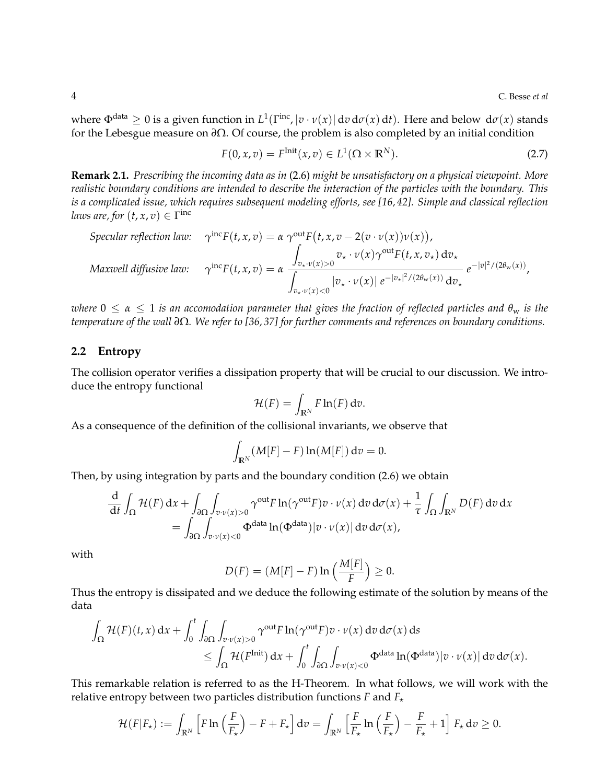where  $\Phi^{\text{data}} \geq 0$  is a given function in  $L^1(\Gamma^{\text{inc}}, |v \cdot v(x)| \, dv \, d\sigma(x) \, dt)$ . Here and below  $d\sigma(x)$  stands for the Lebesgue measure on *∂*Ω. Of course, the problem is also completed by an initial condition

$$
F(0, x, v) = F^{\text{Init}}(x, v) \in L^{1}(\Omega \times \mathbb{R}^{N}).
$$
\n(2.7)

**Remark 2.1.** *Prescribing the incoming data as in* (2.6) *might be unsatisfactory on a physical viewpoint. More realistic boundary conditions are intended to describe the interaction of the particles with the boundary. This is a complicated issue, which requires subsequent modeling efforts, see [16, 42]. Simple and classical reflection laws are, for*  $(t, x, v) \in \Gamma^{\text{inc}}$ 

Specular reflection law:

\n
$$
\gamma^{\text{inc}}F(t, x, v) = \alpha \, \gamma^{\text{out}}F(t, x, v - 2(v \cdot v(x))v(x)),
$$
\n
$$
\int_{v_\star \cdot v(x) > 0} v_\star \cdot v(x) \gamma^{\text{out}}F(t, x, v_\star) \, \mathrm{d}v_\star
$$
\nMaxwell diffusive law:

\n
$$
\gamma^{\text{inc}}F(t, x, v) = \alpha \, \frac{\int_{v_\star \cdot v(x) > 0} v_\star \cdot v(x) \gamma^{\text{out}}F(t, x, v_\star) \, \mathrm{d}v_\star}{\int_{v_\star \cdot v(x) < 0} |v_\star \cdot v(x)| \, e^{-|v_\star|^2 / (2\theta_w(x))} \, \mathrm{d}v_\star} \, e^{-|v|^2 / (2\theta_w(x))},
$$

*where*  $0 \le \alpha \le 1$  *is an accomodation parameter that gives the fraction of reflected particles and*  $\theta_w$  *is the temperature of the wall ∂*Ω*. We refer to [36, 37] for further comments and references on boundary conditions.*

### **2.2 Entropy**

The collision operator verifies a dissipation property that will be crucial to our discussion. We introduce the entropy functional

$$
\mathcal{H}(F) = \int_{\mathbb{R}^N} F \ln(F) \, \mathrm{d}v.
$$

As a consequence of the definition of the collisional invariants, we observe that

$$
\int_{\mathbb{R}^N} (M[F] - F) \ln(M[F]) dv = 0.
$$

Then, by using integration by parts and the boundary condition (2.6) we obtain

$$
\frac{d}{dt} \int_{\Omega} \mathcal{H}(F) dx + \int_{\partial \Omega} \int_{v \cdot v(x) > 0} \gamma^{\text{out}} F \ln(\gamma^{\text{out}} F) v \cdot v(x) dv d\sigma(x) + \frac{1}{\tau} \int_{\Omega} \int_{\mathbb{R}^N} D(F) dv dx
$$
  
= 
$$
\int_{\partial \Omega} \int_{v \cdot v(x) < 0} \Phi^{\text{data}} \ln(\Phi^{\text{data}}) |v \cdot v(x)| dv d\sigma(x),
$$

with

$$
D(F) = (M[F] - F) \ln \left( \frac{M[F]}{F} \right) \geq 0.
$$

Thus the entropy is dissipated and we deduce the following estimate of the solution by means of the data

$$
\int_{\Omega} \mathcal{H}(F)(t,x) dx + \int_{0}^{t} \int_{\partial \Omega} \int_{v \cdot v(x)>0} \gamma^{\text{out}} F \ln(\gamma^{\text{out}} F) v \cdot v(x) dv d\sigma(x) ds
$$
\n
$$
\leq \int_{\Omega} \mathcal{H}(F^{\text{Init}}) dx + \int_{0}^{t} \int_{\partial \Omega} \int_{v \cdot v(x)<0} \Phi^{\text{data}} \ln(\Phi^{\text{data}}) |v \cdot v(x)| dv d\sigma(x).
$$

This remarkable relation is referred to as the H-Theorem. In what follows, we will work with the relative entropy between two particles distribution functions  $F$  and  $F_{\star}$ 

$$
\mathcal{H}(F|F_{\star}) := \int_{\mathbb{R}^N} \left[ F \ln \left( \frac{F}{F_{\star}} \right) - F + F_{\star} \right] dv = \int_{\mathbb{R}^N} \left[ \frac{F}{F_{\star}} \ln \left( \frac{F}{F_{\star}} \right) - \frac{F}{F_{\star}} + 1 \right] F_{\star} dv \ge 0.
$$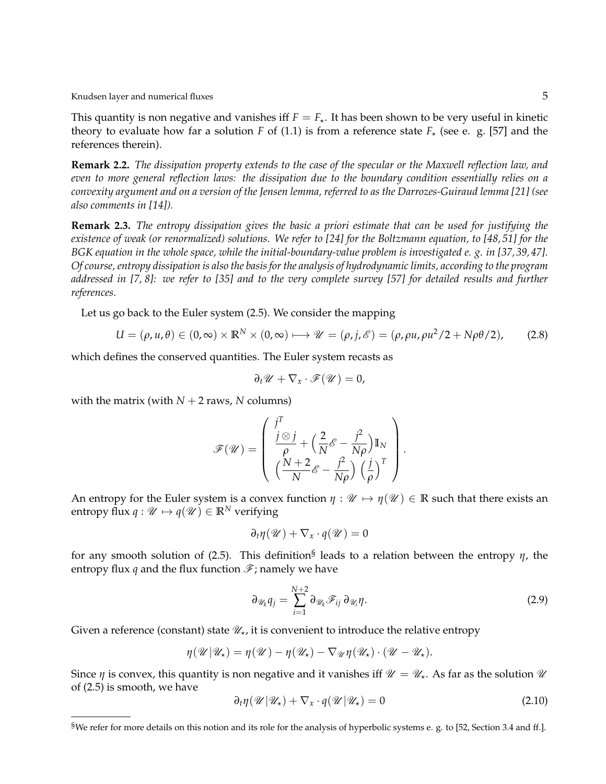Knudsen layer and numerical fluxes 5  $\,$  5  $\,$ 

This quantity is non negative and vanishes iff  $F = F_{\star}$ . It has been shown to be very useful in kinetic theory to evaluate how far a solution *F* of (1.1) is from a reference state  $F_{\star}$  (see e. g. [57] and the references therein).

**Remark 2.2.** *The dissipation property extends to the case of the specular or the Maxwell reflection law, and even to more general reflection laws: the dissipation due to the boundary condition essentially relies on a convexity argument and on a version of the Jensen lemma, referred to as the Darrozes-Guiraud lemma [21] (see also comments in [14]).*

**Remark 2.3.** *The entropy dissipation gives the basic a priori estimate that can be used for justifying the existence of weak (or renormalized) solutions. We refer to [24] for the Boltzmann equation, to [48, 51] for the BGK equation in the whole space, while the initial-boundary-value problem is investigated e. g. in [37, 39, 47]. Of course, entropy dissipation is also the basis for the analysis of hydrodynamic limits, according to the program addressed in [7, 8]: we refer to [35] and to the very complete survey [57] for detailed results and further references.*

Let us go back to the Euler system (2.5). We consider the mapping

$$
U = (\rho, u, \theta) \in (0, \infty) \times \mathbb{R}^N \times (0, \infty) \longrightarrow \mathcal{U} = (\rho, j, \mathcal{E}) = (\rho, \rho u, \rho u^2 / 2 + N \rho \theta / 2), \tag{2.8}
$$

which defines the conserved quantities. The Euler system recasts as

$$
\partial_t \mathscr{U} + \nabla_x \cdot \mathscr{F}(\mathscr{U}) = 0,
$$

with the matrix (with  $N + 2$  raws,  $N$  columns)

$$
\mathcal{F}(\mathcal{U}) = \left( \begin{array}{c} j^T \\ \frac{j \otimes j}{\rho} + \left(\frac{2}{N} \mathcal{E} - \frac{j^2}{N\rho}\right) \mathbb{I}_N \\ \left(\frac{N+2}{N} \mathcal{E} - \frac{j^2}{N\rho}\right) \left(\frac{j}{\rho}\right)^T \end{array} \right)
$$

An entropy for the Euler system is a convex function  $\eta : \mathcal{U} \mapsto \eta(\mathcal{U}) \in \mathbb{R}$  such that there exists an entropy flux  $q : \mathcal{U} \mapsto q(\mathcal{U}) \in \mathbb{R}^N$  verifying

$$
\partial_t \eta(\mathscr{U}) + \nabla_x \cdot q(\mathscr{U}) = 0
$$

for any smooth solution of (2.5). This definition§ leads to a relation between the entropy *η*, the entropy flux *q* and the flux function  $\mathcal{F}$ ; namely we have

$$
\partial_{\mathscr{U}_k} q_j = \sum_{i=1}^{N+2} \partial_{\mathscr{U}_k} \mathscr{F}_{ij} \, \partial_{\mathscr{U}_i} \eta. \tag{2.9}
$$

.

Given a reference (constant) state  $\mathcal{U}_\star$ , it is convenient to introduce the relative entropy

$$
\eta(\mathscr{U}|\mathscr{U}_\star) = \eta(\mathscr{U}) - \eta(\mathscr{U}_\star) - \nabla_{\mathscr{U}}\eta(\mathscr{U}_\star) \cdot (\mathscr{U} - \mathscr{U}_\star).
$$

Since *η* is convex, this quantity is non negative and it vanishes iff  $\mathcal{U} = \mathcal{U}_*$ . As far as the solution  $\mathcal{U}$ of (2.5) is smooth, we have

$$
\partial_t \eta(\mathscr{U}|\mathscr{U}_\star) + \nabla_x \cdot q(\mathscr{U}|\mathscr{U}_\star) = 0 \tag{2.10}
$$

<sup>§</sup>We refer for more details on this notion and its role for the analysis of hyperbolic systems e. g. to [52, Section 3.4 and ff.].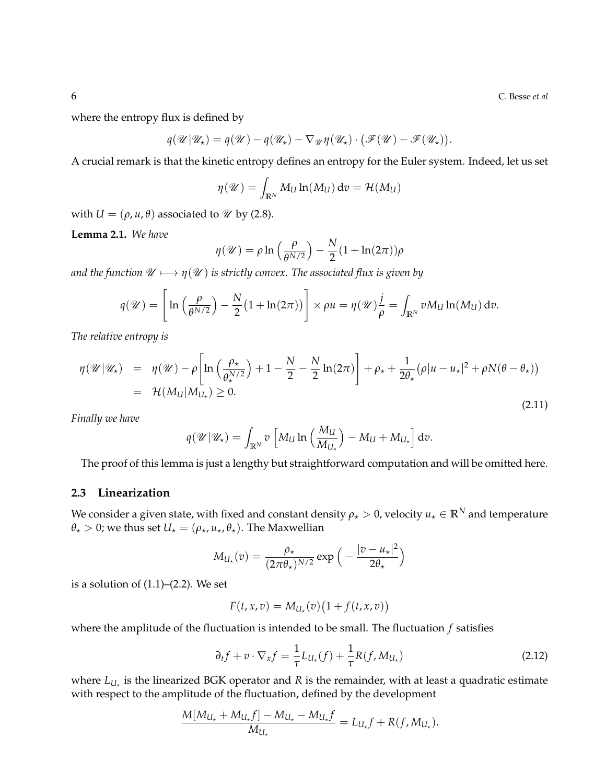where the entropy flux is defined by

$$
q(\mathscr{U}|\mathscr{U}_\star) = q(\mathscr{U}) - q(\mathscr{U}_\star) - \nabla_{\mathscr{U}}\eta(\mathscr{U}_\star) \cdot (\mathscr{F}(\mathscr{U}) - \mathscr{F}(\mathscr{U}_\star)).
$$

A crucial remark is that the kinetic entropy defines an entropy for the Euler system. Indeed, let us set

$$
\eta(\mathscr{U}) = \int_{\mathbb{R}^N} M_U \ln(M_U) \, dv = \mathcal{H}(M_U)
$$

with  $U = (\rho, u, \theta)$  associated to  $\mathcal{U}$  by (2.8).

**Lemma 2.1.** *We have*

$$
\eta(\mathscr{U}) = \rho \ln \left( \frac{\rho}{\theta^{N/2}} \right) - \frac{N}{2} (1 + \ln(2\pi)) \rho
$$

*and the function*  $\mathcal{U} \longmapsto \eta(\mathcal{U})$  *is strictly convex. The associated flux is given by* 

$$
q(\mathscr{U}) = \left[\ln\left(\frac{\rho}{\theta^{N/2}}\right) - \frac{N}{2}(1 + \ln(2\pi))\right] \times \rho u = \eta(\mathscr{U})\frac{j}{\rho} = \int_{\mathbb{R}^N} v M_U \ln(M_U) dv.
$$

*The relative entropy is*

$$
\eta(\mathscr{U}|\mathscr{U}_\star) = \eta(\mathscr{U}) - \rho \left[ \ln \left( \frac{\rho_\star}{\theta_\star^{N/2}} \right) + 1 - \frac{N}{2} - \frac{N}{2} \ln(2\pi) \right] + \rho_\star + \frac{1}{2\theta_\star} (\rho |u - u_\star|^2 + \rho N(\theta - \theta_\star))
$$
  
=  $\mathcal{H}(M_U|M_{U_\star}) \ge 0.$  (2.11)

*Finally we have*

$$
q(\mathscr{U}|\mathscr{U}_\star) = \int_{\mathbb{R}^N} v \left[ M_U \ln \left( \frac{M_U}{M_{U_\star}} \right) - M_U + M_{U_\star} \right] dv.
$$

The proof of this lemma is just a lengthy but straightforward computation and will be omitted here.

### **2.3 Linearization**

We consider a given state, with fixed and constant density  $\rho_{\star} > 0$ , velocity  $u_{\star} \in \mathbb{R}^N$  and temperature  $\theta_{\star} > 0$ ; we thus set  $U_{\star} = (\rho_{\star}, u_{\star}, \theta_{\star})$ . The Maxwellian

$$
M_{U_{\star}}(v) = \frac{\rho_{\star}}{(2\pi\theta_{\star})^{N/2}} \exp\left(-\frac{|v - u_{\star}|^2}{2\theta_{\star}}\right)
$$

is a solution of  $(1.1)$ – $(2.2)$ . We set

$$
F(t, x, v) = M_{U_{\star}}(v) \big(1 + f(t, x, v)\big)
$$

where the amplitude of the fluctuation is intended to be small. The fluctuation *f* satisfies

$$
\partial_t f + v \cdot \nabla_x f = \frac{1}{\tau} L_{U_\star}(f) + \frac{1}{\tau} R(f, M_{U_\star})
$$
\n(2.12)

where  $L_{U_{\star}}$  is the linearized BGK operator and *R* is the remainder, with at least a quadratic estimate with respect to the amplitude of the fluctuation, defined by the development

$$
\frac{M[M_{U_{\star}}+M_{U_{\star}}f]-M_{U_{\star}}-M_{U_{\star}}f}{M_{U_{\star}}} = L_{U_{\star}}f + R(f, M_{U_{\star}}).
$$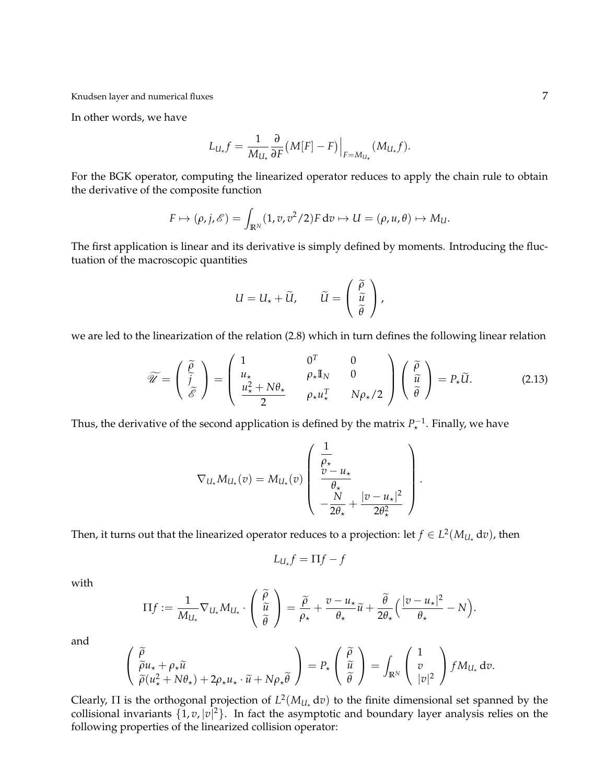In other words, we have

$$
L_{U_{\star}}f = \frac{1}{M_{U_{\star}}} \frac{\partial}{\partial F} (M[F] - F) \Big|_{F = M_{U_{\star}}} (M_{U_{\star}}f).
$$

For the BGK operator, computing the linearized operator reduces to apply the chain rule to obtain the derivative of the composite function

$$
F \mapsto (\rho, j, \mathscr{E}) = \int_{\mathbb{R}^N} (1, v, v^2/2) F dv \mapsto U = (\rho, u, \theta) \mapsto M_U.
$$

The first application is linear and its derivative is simply defined by moments. Introducing the fluctuation of the macroscopic quantities

$$
U = U_{\star} + \widetilde{U}, \qquad \widetilde{U} = \begin{pmatrix} \widetilde{\rho} \\ \widetilde{u} \\ \widetilde{\theta} \end{pmatrix},
$$

we are led to the linearization of the relation (2.8) which in turn defines the following linear relation

$$
\widetilde{\mathscr{U}} = \begin{pmatrix} \widetilde{\rho} \\ \widetilde{j} \\ \widetilde{\mathscr{E}} \end{pmatrix} = \begin{pmatrix} 1 & 0^T & 0 \\ u_{\star} & \rho_{\star} \mathbb{I}_N & 0 \\ \frac{u_{\star}^2 + N\theta_{\star}}{2} & \rho_{\star} u_{\star}^T & N\rho_{\star}/2 \end{pmatrix} \begin{pmatrix} \widetilde{\rho} \\ \widetilde{u} \\ \widetilde{\theta} \end{pmatrix} = P_{\star} \widetilde{U}. \tag{2.13}
$$

.

Thus, the derivative of the second application is defined by the matrix  $P_{\star}^{-1}$ . Finally, we have

$$
\nabla_{U_{\star}} M_{U_{\star}}(v) = M_{U_{\star}}(v) \left( \begin{array}{c} \frac{1}{\rho_{\star}} \\ \frac{v - u_{\star}}{\rho_{\star}} \\ -\frac{N}{2\theta_{\star}} + \frac{|v - u_{\star}|^2}{2\theta_{\star}^2} \end{array} \right)
$$

Then, it turns out that the linearized operator reduces to a projection: let  $f \in L^2(M_{U_\star}\,\mathrm{d} v)$ , then

$$
L_{U_{\star}}f=\Pi f-f
$$

with

$$
\Pi f := \frac{1}{M_{U_{\star}}} \nabla_{U_{\star}} M_{U_{\star}} \cdot \begin{pmatrix} \widetilde{\rho} \\ \widetilde{u} \\ \widetilde{\theta} \end{pmatrix} = \frac{\widetilde{\rho}}{\rho_{\star}} + \frac{v - u_{\star}}{\theta_{\star}} \widetilde{u} + \frac{\widetilde{\theta}}{2\theta_{\star}} \Big(\frac{|v - u_{\star}|^2}{\theta_{\star}} - N\Big).
$$

and

$$
\begin{pmatrix}\n\widetilde{\rho} \\
\widetilde{\rho}u_{\star} + \rho_{\star}\widetilde{u} \\
\widetilde{\rho}(u_{\star}^2 + N\theta_{\star}) + 2\rho_{\star}u_{\star} \cdot \widetilde{u} + N\rho_{\star}\widetilde{\theta}\n\end{pmatrix} = P_{\star} \begin{pmatrix}\n\widetilde{\rho} \\
\widetilde{u} \\
\widetilde{\theta}\n\end{pmatrix} = \int_{\mathbb{R}^N} \begin{pmatrix}\n1 \\
v \\
|v|^2\n\end{pmatrix} f M_{U_{\star}} dv.
$$

Clearly,  $\Pi$  is the orthogonal projection of  $L^2(M_{U_*} \, \mathrm{d} v)$  to the finite dimensional set spanned by the collisional invariants  $\{1, v, |v|^2\}$ . In fact the asymptotic and boundary layer analysis relies on the following properties of the linearized collision operator: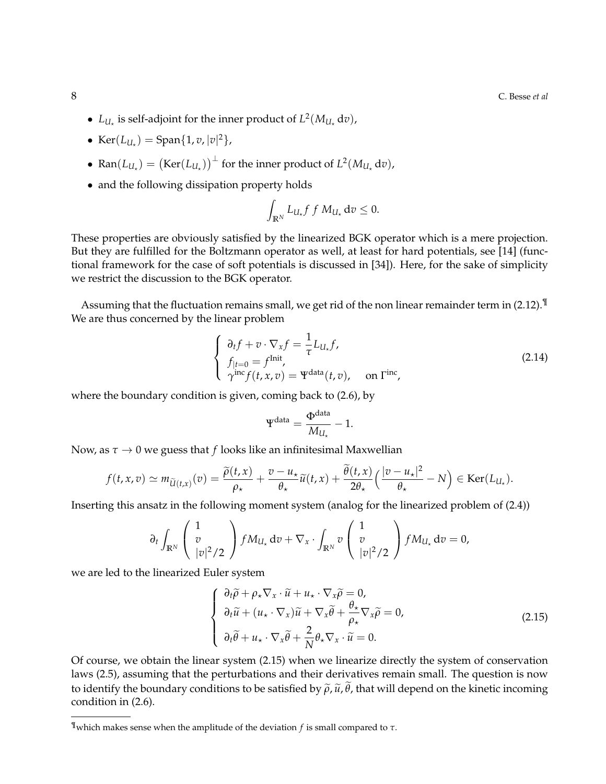- $L_{U_*}$  is self-adjoint for the inner product of  $L^2(M_{U_*} \, \mathrm{d} v)$ ,
- $\text{Ker}(L_{U_{\star}}) = \text{Span}\{1, v, |v|^2\},\$
- Ran $(L_{U_{\star}}) = (\text{Ker}(L_{U_{\star}}))^{\perp}$  for the inner product of  $L^2(M_{U_{\star}} d v)$ ,
- and the following dissipation property holds

$$
\int_{\mathbb{R}^N} L_{U_\star} f f M_{U_\star} dv \leq 0.
$$

These properties are obviously satisfied by the linearized BGK operator which is a mere projection. But they are fulfilled for the Boltzmann operator as well, at least for hard potentials, see [14] (functional framework for the case of soft potentials is discussed in [34]). Here, for the sake of simplicity we restrict the discussion to the BGK operator.

Assuming that the fluctuation remains small, we get rid of the non linear remainder term in (2.12).¶ We are thus concerned by the linear problem

$$
\begin{cases}\n\partial_t f + v \cdot \nabla_x f = \frac{1}{\tau} L_{U_\tau} f, \\
f_{|t=0} = f^{\text{Init}}, \\
\gamma^{\text{inc}} f(t, x, v) = \Psi^{\text{data}}(t, v), \quad \text{on } \Gamma^{\text{inc}},\n\end{cases}
$$
\n(2.14)

where the boundary condition is given, coming back to (2.6), by

$$
\Psi^{\text{data}} = \frac{\Phi^{\text{data}}}{M_{U_{\star}}} - 1.
$$

Now, as  $\tau \to 0$  we guess that *f* looks like an infinitesimal Maxwellian

$$
f(t,x,v) \simeq m_{\widetilde{U}(t,x)}(v) = \frac{\widetilde{\rho}(t,x)}{\rho_{\star}} + \frac{v-u_{\star}}{\theta_{\star}} \widetilde{u}(t,x) + \frac{\widetilde{\theta}(t,x)}{2\theta_{\star}} \Big(\frac{|v-u_{\star}|^2}{\theta_{\star}} - N\Big) \in \text{Ker}(L_{U_{\star}}).
$$

Inserting this ansatz in the following moment system (analog for the linearized problem of (2.4))

$$
\partial_t \int_{\mathbb{R}^N} \left( \begin{array}{c} 1 \\ v \\ |v|^2/2 \end{array} \right) f M_{U_\star} \, \mathrm{d}v + \nabla_x \cdot \int_{\mathbb{R}^N} v \left( \begin{array}{c} 1 \\ v \\ |v|^2/2 \end{array} \right) f M_{U_\star} \, \mathrm{d}v = 0,
$$

we are led to the linearized Euler system

$$
\begin{cases}\n\partial_t \widetilde{\rho} + \rho_\star \nabla_x \cdot \widetilde{u} + u_\star \cdot \nabla_x \widetilde{\rho} = 0, \\
\partial_t \widetilde{u} + (u_\star \cdot \nabla_x) \widetilde{u} + \nabla_x \widetilde{\theta} + \frac{\theta_\star}{\rho_\star} \nabla_x \widetilde{\rho} = 0, \\
\partial_t \widetilde{\theta} + u_\star \cdot \nabla_x \widetilde{\theta} + \frac{2}{N} \theta_\star \nabla_x \cdot \widetilde{u} = 0.\n\end{cases}
$$
\n(2.15)

Of course, we obtain the linear system (2.15) when we linearize directly the system of conservation laws (2.5), assuming that the perturbations and their derivatives remain small. The question is now to identify the boundary conditions to be satisfied by  $\tilde{\rho}$ ,  $\tilde{u}$ ,  $\tilde{\theta}$ , that will depend on the kinetic incoming condition in (2.6).

<sup>¶</sup>which makes sense when the amplitude of the deviation *f* is small compared to *τ*.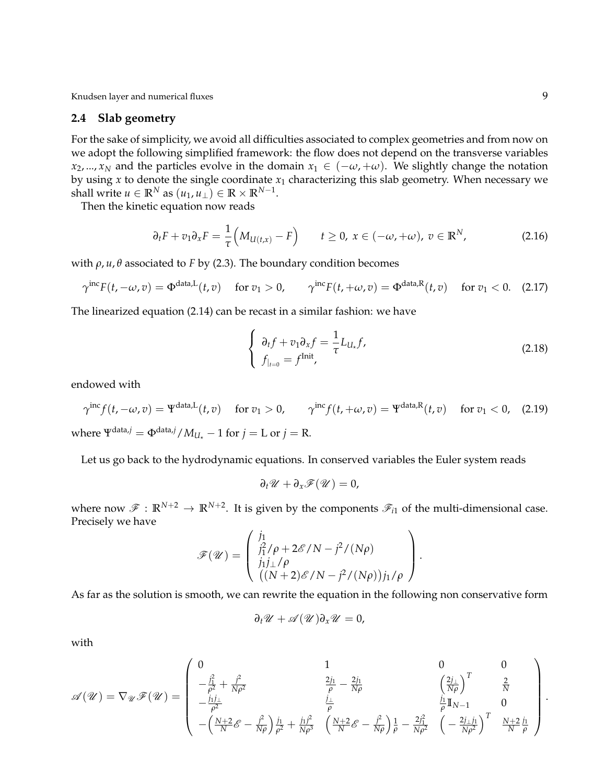#### **2.4 Slab geometry**

For the sake of simplicity, we avoid all difficulties associated to complex geometries and from now on we adopt the following simplified framework: the flow does not depend on the transverse variables *x*<sub>2</sub>, ..., *x*<sub>*N*</sub> and the particles evolve in the domain  $x_1 \in (-\omega, +\omega)$ . We slightly change the notation by using  $x$  to denote the single coordinate  $x_1$  characterizing this slab geometry. When necessary we shall write  $u \in \mathbb{R}^N$  as  $(u_1, u_\perp) \in \mathbb{R} \times \mathbb{R}^{N-1}$ .

Then the kinetic equation now reads

$$
\partial_t F + v_1 \partial_x F = \frac{1}{\tau} \Big( M_{U(t,x)} - F \Big) \qquad t \ge 0, \ x \in (-\omega, +\omega), \ v \in \mathbb{R}^N,
$$

with  $ρ, u, θ$  associated to *F* by (2.3). The boundary condition becomes

$$
\gamma^{\text{inc}} F(t, -\omega, v) = \Phi^{\text{data}, L}(t, v) \quad \text{for } v_1 > 0, \qquad \gamma^{\text{inc}} F(t, +\omega, v) = \Phi^{\text{data}, R}(t, v) \quad \text{for } v_1 < 0. \tag{2.17}
$$

The linearized equation (2.14) can be recast in a similar fashion: we have

$$
\begin{cases}\n\partial_t f + v_1 \partial_x f = \frac{1}{\tau} L_{U_\star} f, \\
f_{|_{t=0}} = f^{\text{Init}},\n\end{cases}
$$
\n(2.18)

endowed with

 $\gamma^{\text{inc}} f(t, -\omega, v) = \Psi^{\text{data},L}(t, v)$  for  $v_1 > 0$ ,  $\gamma^{\text{inc}} f(t, +\omega, v) = \Psi^{\text{data},R}(t, v)$  for  $v_1 < 0$ , (2.19) where  $\Psi^{\text{data},j} = \Phi^{\text{data},j}/M_{UL} - 1$  for  $j = L$  or  $j = R$ .

Let us go back to the hydrodynamic equations. In conserved variables the Euler system reads

$$
\partial_t \mathscr{U} + \partial_x \mathscr{F}(\mathscr{U}) = 0,
$$

where now  $\mathscr{F}: \mathbb{R}^{N+2} \to \mathbb{R}^{N+2}$ . It is given by the components  $\mathscr{F}_{i1}$  of the multi-dimensional case. Precisely we have

$$
\mathscr{F}(\mathscr{U}) = \begin{pmatrix} j_1 \\ j_1^2/\rho + 2\mathscr{E}/N - j^2/(N\rho) \\ j_1j_\perp/\rho \\ ((N+2)\mathscr{E}/N - j^2/(N\rho))j_1/\rho \end{pmatrix}.
$$

As far as the solution is smooth, we can rewrite the equation in the following non conservative form

$$
\partial_t \mathscr{U} + \mathscr{A}(\mathscr{U}) \partial_x \mathscr{U} = 0,
$$

with

$$
\mathscr{A}(\mathscr{U})=\nabla_{\mathscr{U}}\mathscr{F}(\mathscr{U})=\left(\begin{array}{cccc}0&1&0&0\\-\frac{j_1^2}{\rho^2}+\frac{j^2}{N\rho^2}&\frac{2j_1}{\rho}-\frac{2j_1}{N\rho}&\left(\frac{2j_\perp}{N\rho}\right)^T&\frac{2}{N}\\-\frac{j_1j_\perp}{\rho^2}&\frac{j_\perp}{\rho}&\frac{j_1}{\rho} &\frac{j_1j_1}{\rho^2}\\-\left(\frac{N+2}{N}\mathscr{E}-\frac{j^2}{N\rho}\right)\frac{j_1}{\rho^2}+\frac{j_1j^2}{N\rho^3}&\left(\frac{N+2}{N}\mathscr{E}-\frac{j^2}{N\rho}\right)\frac{1}{\rho}-\frac{2j_1^2}{N\rho^2}&\left(-\frac{2j_\perp j_1}{N\rho^2}\right)^T&\frac{N+2}{N}\frac{j_1}{\rho}\end{array}\right).
$$

 $\Delta$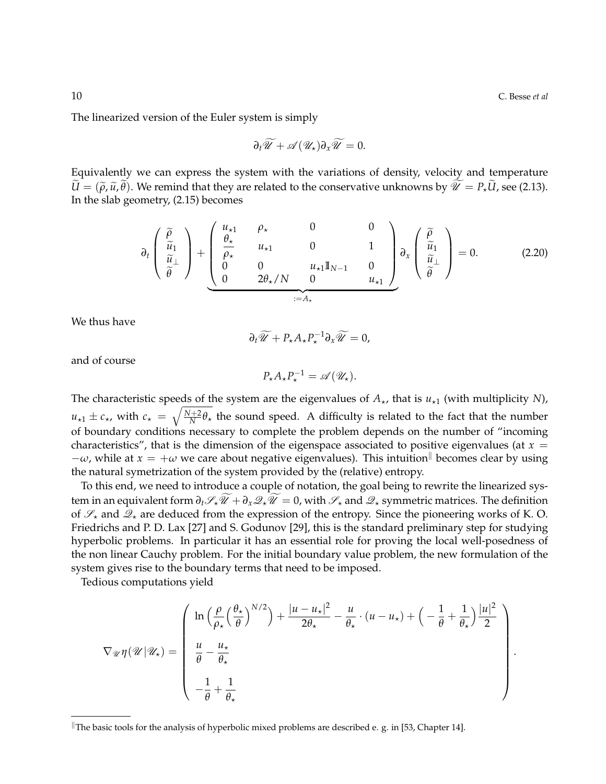The linearized version of the Euler system is simply

$$
\partial_t \widetilde{\mathscr{U}} + \mathscr{A}(\mathscr{U}_\star) \partial_x \widetilde{\mathscr{U}} = 0.
$$

Equivalently we can express the system with the variations of density, velocity and temperature  $\widetilde{U} = (\widetilde{\rho}, \widetilde{u}, \widetilde{\theta})$ . We remind that they are related to the conservative unknowns by  $\widetilde{\mathcal{U}} = P_{*}\widetilde{U}$ , see (2.13). In the slab geometry, (2.15) becomes

$$
\partial_t \begin{pmatrix} \widetilde{\rho} \\ \widetilde{u}_1 \\ \widetilde{\theta} \end{pmatrix} + \underbrace{\begin{pmatrix} u_{\star 1} & \rho_{\star} & 0 & 0 \\ \frac{\theta_{\star}}{\rho_{\star}} & u_{\star 1} & 0 & 1 \\ 0 & 0 & u_{\star 1} \mathbb{I}_{N-1} & 0 \\ 0 & 2\theta_{\star}/N & 0 & u_{\star 1} \end{pmatrix}}_{:=A_{\star}} \partial_x \begin{pmatrix} \widetilde{\rho} \\ \widetilde{u}_1 \\ \widetilde{\theta} \end{pmatrix} = 0.
$$
 (2.20)

We thus have

$$
\partial_t \widetilde{\mathscr{U}} + P_{\star} A_{\star} P_{\star}^{-1} \partial_x \widetilde{\mathscr{U}} = 0,
$$

and of course

$$
P_{\star}A_{\star}P_{\star}^{-1}=\mathscr{A}(\mathscr{U}_{\star}).
$$

The characteristic speeds of the system are the eigenvalues of  $A_{\star}$ , that is  $u_{\star1}$  (with multiplicity *N*),  $u_{\star1} \pm c_{\star}$ , with  $c_{\star} = \sqrt{\frac{N+2}{N} \theta_{\star}}$  the sound speed. A difficulty is related to the fact that the number of boundary conditions necessary to complete the problem depends on the number of "incoming characteristics", that is the dimension of the eigenspace associated to positive eigenvalues (at  $x =$  $-\omega$ , while at  $x = +\omega$  we care about negative eigenvalues). This intuition<sup>||</sup> becomes clear by using the natural symetrization of the system provided by the (relative) entropy.

To this end, we need to introduce a couple of notation, the goal being to rewrite the linearized system in an equivalent form  $\partial_t \mathscr{S}_\star \widetilde{\mathscr{U}} + \partial_x \mathscr{Q}_\star \widetilde{\mathscr{U}} = 0$ , with  $\mathscr{S}_\star$  and  $\mathscr{Q}_\star$  symmetric matrices. The definition of  $\mathscr{S}_\star$  and  $\mathscr{Q}_\star$  are deduced from the expression of the entropy. Since the pioneering works of K. O. Friedrichs and P. D. Lax [27] and S. Godunov [29], this is the standard preliminary step for studying hyperbolic problems. In particular it has an essential role for proving the local well-posedness of the non linear Cauchy problem. For the initial boundary value problem, the new formulation of the system gives rise to the boundary terms that need to be imposed.

Tedious computations yield

$$
\nabla_{\mathscr{U}} \eta(\mathscr{U}|\mathscr{U}_\star) = \left(\begin{array}{c} \ln\left(\frac{\rho}{\rho_\star}\left(\frac{\theta_\star}{\theta}\right)^{N/2}\right) + \frac{|u - u_\star|^2}{2\theta_\star} - \frac{u}{\theta_\star} \cdot (u - u_\star) + \left(-\frac{1}{\theta} + \frac{1}{\theta_\star}\right) \frac{|u|^2}{2} \\ \frac{u}{\theta} - \frac{u_\star}{\theta_\star} \\ -\frac{1}{\theta} + \frac{1}{\theta_\star} \end{array}\right).
$$

The basic tools for the analysis of hyperbolic mixed problems are described e. g. in [53, Chapter 14].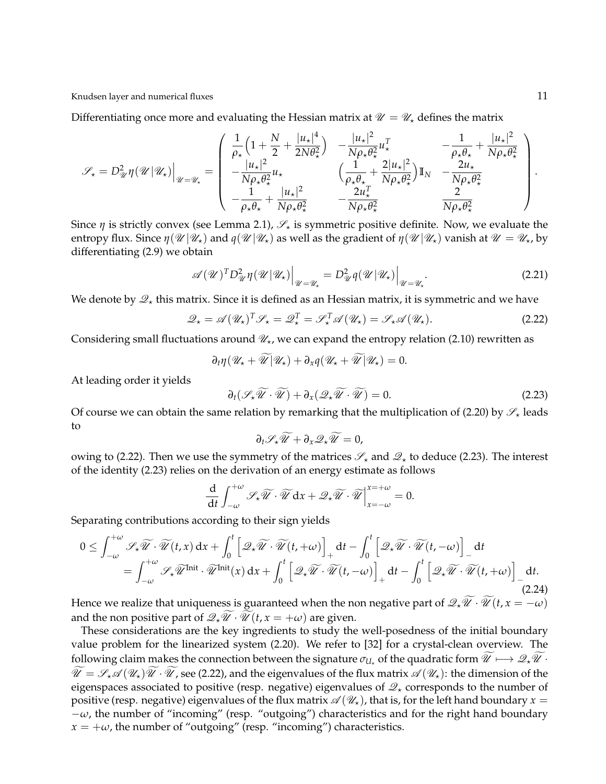Knudsen layer and numerical fluxes 11 and 2008 11 and 2008 12 and 2008 12 and 2008 12 and 2008 12 and 2008 12 and 2008 12 and 2008 12 and 2008 12 and 2008 12 and 2008 12 and 2008 12 and 2008 12 and 2008 12 and 2008 12 and

Differentiating once more and evaluating the Hessian matrix at  $\mathcal{U} = \mathcal{U}$  defines the matrix

$$
\mathscr{S}_{\star} = D_{\mathscr{U}}^2 \eta(\mathscr{U}|\mathscr{U}_{\star})\Big|_{\mathscr{U} = \mathscr{U}_{\star}} = \left(\begin{array}{ccc} \frac{1}{\rho_{\star}}\left(1 + \frac{N}{2} + \frac{|u_{\star}|^4}{2N\theta_{\star}^2}\right) & -\frac{|u_{\star}|^2}{N\rho_{\star}\theta_{\star}^2}u_{\star}^T & -\frac{1}{\rho_{\star}\theta_{\star}} + \frac{|u_{\star}|^2}{N\rho_{\star}\theta_{\star}^2} \\ -\frac{|u_{\star}|^2}{N\rho_{\star}\theta_{\star}^2}u_{\star} & \left(\frac{1}{\rho_{\star}\theta_{\star}} + \frac{2|u_{\star}|^2}{N\rho_{\star}\theta_{\star}^2}\right)\mathbb{I}_{N} & -\frac{2u_{\star}}{N\rho_{\star}\theta_{\star}^2} \\ -\frac{1}{\rho_{\star}\theta_{\star}} + \frac{|u_{\star}|^2}{N\rho_{\star}\theta_{\star}^2} & -\frac{2u_{\star}^T}{N\rho_{\star}\theta_{\star}^2} & \frac{2}{N\rho_{\star}\theta_{\star}^2} \end{array}\right).
$$

Since *η* is strictly convex (see Lemma 2.1),  $\mathscr{S}_\star$  is symmetric positive definite. Now, we evaluate the entropy flux. Since  $\eta(\mathcal{U}|\mathcal{U}_\star)$  and  $q(\mathcal{U}|\mathcal{U}_\star)$  as well as the gradient of  $\eta(\mathcal{U}|\mathcal{U}_\star)$  vanish at  $\mathcal{U}=\mathcal{U}_\star$ , by differentiating (2.9) we obtain

$$
\mathscr{A}(\mathscr{U})^T D^2_{\mathscr{U}} \eta(\mathscr{U}|\mathscr{U}_\star)\Big|_{\mathscr{U}=\mathscr{U}_\star} = D^2_{\mathscr{U}} \eta(\mathscr{U}|\mathscr{U}_\star)\Big|_{\mathscr{U}=\mathscr{U}_\star}.
$$
\n(2.21)

We denote by  $\mathcal{Q}_\star$  this matrix. Since it is defined as an Hessian matrix, it is symmetric and we have

$$
\mathcal{Q}_{\star} = \mathscr{A}(\mathscr{U}_{\star})^T \mathscr{S}_{\star} = \mathscr{Q}_{\star}^T = \mathscr{S}_{\star}^T \mathscr{A}(\mathscr{U}_{\star}) = \mathscr{S}_{\star} \mathscr{A}(\mathscr{U}_{\star}).
$$
\n(2.22)

Considering small fluctuations around  $\mathcal{U}_\star$ , we can expand the entropy relation (2.10) rewritten as

$$
\partial_t \eta(\mathscr{U}_\star + \widetilde{\mathscr{U}}|\mathscr{U}_\star) + \partial_x q(\mathscr{U}_\star + \widetilde{\mathscr{U}}|\mathscr{U}_\star) = 0.
$$

At leading order it yields

$$
\partial_t(\mathscr{S}_\star \widetilde{\mathscr{U}} \cdot \widetilde{\mathscr{U}}) + \partial_x(\mathscr{Q}_\star \widetilde{\mathscr{U}} \cdot \widetilde{\mathscr{U}}) = 0. \tag{2.23}
$$

Of course we can obtain the same relation by remarking that the multiplication of (2.20) by  $\mathscr{S}_\star$  leads to

$$
\partial_t \mathscr{S}_\star \widetilde{\mathscr{U}} + \partial_x \mathscr{Q}_\star \widetilde{\mathscr{U}} = 0,
$$

owing to (2.22). Then we use the symmetry of the matrices  $\mathscr{S}_\star$  and  $\mathscr{Q}_\star$  to deduce (2.23). The interest of the identity (2.23) relies on the derivation of an energy estimate as follows

$$
\frac{\mathrm{d}}{\mathrm{d}t} \int_{-\omega}^{+\omega} \mathscr{S}_\star \widetilde{\mathscr{U}} \cdot \widetilde{\mathscr{U}} \, \mathrm{d}x + \mathscr{Q}_\star \widetilde{\mathscr{U}} \cdot \widetilde{\mathscr{U}} \bigg|_{x=-\omega}^{x=+\omega} = 0.
$$

Separating contributions according to their sign yields

$$
0 \leq \int_{-\omega}^{+\omega} \mathscr{S}_{\star} \widetilde{\mathscr{U}} \cdot \widetilde{\mathscr{U}}(t, x) dx + \int_{0}^{t} \left[ \mathscr{Q}_{\star} \widetilde{\mathscr{U}} \cdot \widetilde{\mathscr{U}}(t, +\omega) \right]_{+} dt - \int_{0}^{t} \left[ \mathscr{Q}_{\star} \widetilde{\mathscr{U}} \cdot \widetilde{\mathscr{U}}(t, -\omega) \right]_{-} dt
$$
  
= 
$$
\int_{-\omega}^{+\omega} \mathscr{S}_{\star} \widetilde{\mathscr{U}}^{\text{Init}} \cdot \widetilde{\mathscr{U}}^{\text{Init}}(x) dx + \int_{0}^{t} \left[ \mathscr{Q}_{\star} \widetilde{\mathscr{U}} \cdot \widetilde{\mathscr{U}}(t, -\omega) \right]_{+} dt - \int_{0}^{t} \left[ \mathscr{Q}_{\star} \widetilde{\mathscr{U}} \cdot \widetilde{\mathscr{U}}(t, +\omega) \right]_{-} dt.
$$
 (2.24)

Hence we realize that uniqueness is guaranteed when the non negative part of  $\mathscr{Q}_\star \mathscr{U} \cdot \mathscr{U}(t, x = -\omega)$ and the non positive part of  $\mathscr{Q}_* \widetilde{\mathscr{U}} \cdot \widetilde{\mathscr{U}}(t, x = +\omega)$  are given.

These considerations are the key ingredients to study the well-posedness of the initial boundary value problem for the linearized system (2.20). We refer to [32] for a crystal-clean overview. The following claim makes the connection between the signature  $\sigma_{U}$  of the quadratic form  $\widetilde{\mathscr{U}}\mapsto\mathscr{Q}_*\widetilde{\mathscr{U}}\cdot$  $\widetilde{\mathscr{U}}=\mathscr{S}_{\star}\mathscr{A}(\mathscr{U}_{\star})\widetilde{\mathscr{U}}\cdot\widetilde{\mathscr{U}}$ , see (2.22), and the eigenvalues of the flux matrix  $\mathscr{A}(\mathscr{U}_{\star})$ : the dimension of the eigenspaces associated to positive (resp. negative) eigenvalues of  $\mathcal{Q}_*$  corresponds to the number of positive (resp. negative) eigenvalues of the flux matrix  $\mathscr{A}(\mathscr{U}_\star)$ , that is, for the left hand boundary  $x =$  $-\omega$ , the number of "incoming" (resp. "outgoing") characteristics and for the right hand boundary  $x = +\omega$ , the number of "outgoing" (resp. "incoming") characteristics.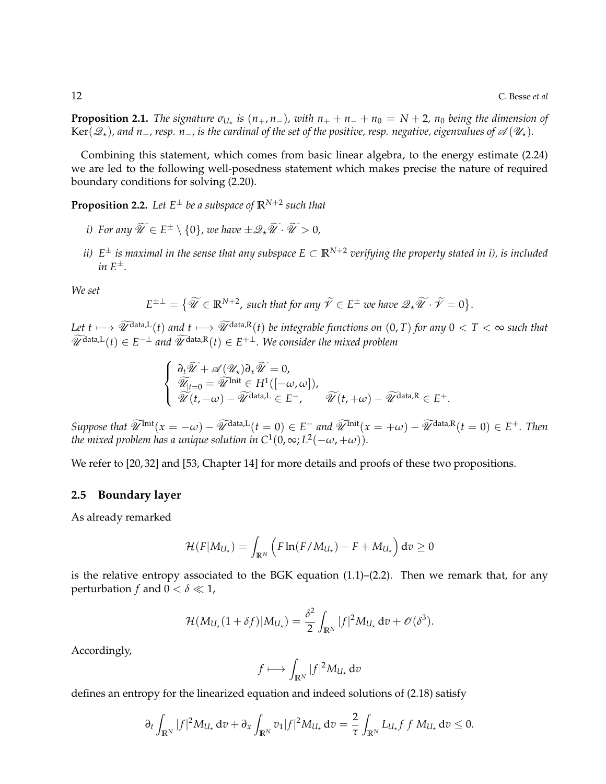**Proposition 2.1.** *The signature*  $\sigma_{U_{\star}}$  *is*  $(n_{+}, n_{-})$ *, with*  $n_{+} + n_{-} + n_{0} = N + 2$ *,*  $n_{0}$  *being the dimension of* Ker( $\mathscr{Q}_\star$ ), and  $n_+$ , resp.  $n_-$ , is the cardinal of the set of the positive, resp. negative, eigenvalues of  $\mathscr{A}(\mathscr{U}_\star)$ .

Combining this statement, which comes from basic linear algebra, to the energy estimate (2.24) we are led to the following well-posedness statement which makes precise the nature of required boundary conditions for solving (2.20).

**Proposition 2.2.** *Let E*<sup>±</sup> *be a subspace of* **R***N*+<sup>2</sup> *such that*

- *i*) For any  $\widetilde{\mathscr{U}} \in E^{\pm} \setminus \{0\}$ , we have  $\pm \mathscr{Q}_{\star} \widetilde{\mathscr{U}} \cdot \widetilde{\mathscr{U}} > 0$ ,
- *ii) E* <sup>±</sup> *is maximal in the sense that any subspace E* ⊂ **R***N*+<sup>2</sup> *verifying the property stated in i), is included in E*±*.*

*We set*

$$
E^{\pm \perp} = \{ \widetilde{\mathscr{U}} \in \mathbb{R}^{N+2}, \text{ such that for any } \widetilde{\mathscr{V}} \in E^{\pm} \text{ we have } \mathscr{Q}_{\star} \widetilde{\mathscr{U}} \cdot \widetilde{\mathscr{V}} = 0 \}.
$$

*Let*  $t \mapsto \widetilde{\mathcal{U}}^{data,L}(t)$  *and*  $t \mapsto \widetilde{\mathcal{U}}^{data,R}(t)$  *be integrable functions on*  $(0,T)$  *for any*  $0 < T < \infty$  *such that*  $\widetilde{\mathscr{U}}^{\text{data},L}(t) \in E^{-\perp}$  and  $\widetilde{\mathscr{U}}^{\text{data},R}(t) \in E^{+\perp}$ . We consider the mixed problem

$$
\begin{cases}\n\frac{\partial_t \widetilde{\mathscr{U}} + \mathscr{A}(\mathscr{U}_\star) \partial_x \widetilde{\mathscr{U}} = 0, \\
\widetilde{\mathscr{U}}_{t=0} = \widetilde{\mathscr{U}}^{\text{Init}} \in H^1([-\omega,\omega]), \\
\widetilde{\mathscr{U}}(t,-\omega) - \widetilde{\mathscr{U}}^{\text{data,L}} \in E^-, \qquad \widetilde{\mathscr{U}}(t,+\omega) - \widetilde{\mathscr{U}}^{\text{data,R}} \in E^+.\n\end{cases}
$$

 $Suppose that \,\,\widetilde{\mathscr{U}}^{\text{Init}}(x = -\omega) - \widetilde{\mathscr{U}}^{\text{data,L}}(t = 0) \in E^-$  and  $\widetilde{\mathscr{U}}^{\text{Init}}(x = +\omega) - \widetilde{\mathscr{U}}^{\text{data,R}}(t = 0) \in E^+$ . Then the mixed problem has a unique solution in  $C^1(0,\infty; L^2(-\omega,+\omega)).$ 

We refer to [20, 32] and [53, Chapter 14] for more details and proofs of these two propositions.

### **2.5 Boundary layer**

As already remarked

$$
\mathcal{H}(F|M_{U_{\star}})=\int_{\mathbb{R}^N}\left(F\ln(F/M_{U_{\star}})-F+M_{U_{\star}}\right)\mathrm{d}v\geq 0
$$

is the relative entropy associated to the BGK equation  $(1.1)$ – $(2.2)$ . Then we remark that, for any perturbation *f* and  $0 < \delta \ll 1$ ,

$$
\mathcal{H}(M_{U_{\star}}(1+\delta f)|M_{U_{\star}})=\frac{\delta^2}{2}\int_{\mathbb{R}^N}|f|^2M_{U_{\star}}\,d\mathit{v}+\mathscr{O}(\delta^3).
$$

Accordingly,

$$
f\longmapsto \int_{\mathbb{R}^N} |f|^2 M_{U_\star} dv
$$

defines an entropy for the linearized equation and indeed solutions of (2.18) satisfy

$$
\partial_t \int_{\mathbb{R}^N} |f|^2 M_{U_\star} \, \mathrm{d}v + \partial_x \int_{\mathbb{R}^N} v_1 |f|^2 M_{U_\star} \, \mathrm{d}v = \frac{2}{\tau} \int_{\mathbb{R}^N} L_{U_\star} f \, f M_{U_\star} \, \mathrm{d}v \le 0.
$$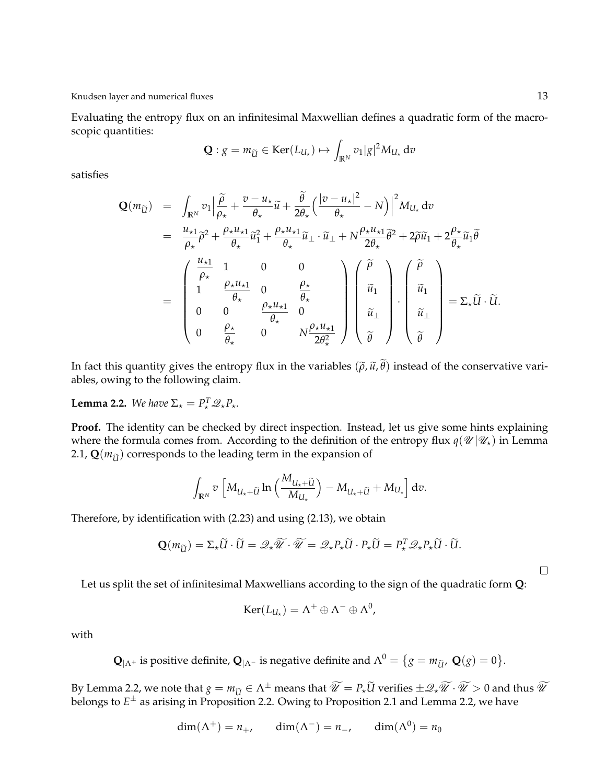Evaluating the entropy flux on an infinitesimal Maxwellian defines a quadratic form of the macroscopic quantities:

$$
\mathbf{Q}: g = m_{\widetilde{U}} \in \text{Ker}(L_{U_{\star}}) \mapsto \int_{\mathbb{R}^N} v_1 |g|^2 M_{U_{\star}} \, \mathrm{d}v
$$

satisfies

$$
\mathbf{Q}(m_{\widetilde{U}}) = \int_{\mathbb{R}^N} v_1 \Big| \frac{\widetilde{\rho}}{\rho_{\star}} + \frac{v - u_{\star}}{\theta_{\star}} \widetilde{u} + \frac{\widetilde{\theta}}{2\theta_{\star}} \Big( \frac{|v - u_{\star}|^2}{\theta_{\star}} - N \Big) \Big|^2 M_{U_{\star}} dv
$$
  
\n
$$
= \frac{u_{\star 1}}{\rho_{\star}} \widetilde{\rho}^2 + \frac{\rho_{\star} u_{\star 1}}{\theta_{\star}} \widetilde{u}_1^2 + \frac{\rho_{\star} u_{\star 1}}{\theta_{\star}} \widetilde{u}_\perp \cdot \widetilde{u}_\perp + N \frac{\rho_{\star} u_{\star 1}}{2\theta_{\star}} \widetilde{\theta}^2 + 2 \widetilde{\rho} \widetilde{u}_1 + 2 \frac{\rho_{\star}}{\theta_{\star}} \widetilde{u}_1 \widetilde{\theta}
$$
  
\n
$$
= \begin{pmatrix} \frac{u_{\star 1}}{\rho_{\star}} & 1 & 0 & 0 \\ 1 & \frac{\rho_{\star} u_{\star 1}}{\theta_{\star}} & 0 & \frac{\rho_{\star}}{\theta_{\star}} \\ 0 & 0 & \frac{\rho_{\star}}{\theta_{\star}} & 0 \end{pmatrix} \begin{pmatrix} \widetilde{\rho} \\ \widetilde{u}_1 \\ \widetilde{u}_1 \\ \widetilde{u}_1 \end{pmatrix} \cdot \begin{pmatrix} \widetilde{\rho} \\ \widetilde{u}_1 \\ \widetilde{u}_1 \\ \widetilde{u}_1 \end{pmatrix} = \Sigma_{\star} \widetilde{U} \cdot \widetilde{U}.
$$

In fact this quantity gives the entropy flux in the variables  $(\tilde{\rho}, \tilde{u}, \tilde{\theta})$  instead of the conservative variables, owing to the following claim.

**Lemma 2.2.** *We have*  $\Sigma_{\star} = P_{\star}^{T} \mathscr{Q}_{\star} P_{\star}$ *.* 

**Proof.** The identity can be checked by direct inspection. Instead, let us give some hints explaining where the formula comes from. According to the definition of the entropy flux  $q(\mathcal{U} | \mathcal{U}_*)$  in Lemma 2.1,  $\mathbf{Q}(m_{\tilde{\mathbf{U}}})$  corresponds to the leading term in the expansion of

$$
\int_{\mathbb{R}^N} v \left[ M_{U_{\star} + \widetilde{U}} \ln \left( \frac{M_{U_{\star} + \widetilde{U}}}{M_{U_{\star}}} \right) - M_{U_{\star} + \widetilde{U}} + M_{U_{\star}} \right] dv.
$$

Therefore, by identification with (2.23) and using (2.13), we obtain

$$
\mathbf{Q}(m_{\widetilde{U}}) = \Sigma_{\star} \widetilde{U} \cdot \widetilde{U} = \mathscr{Q}_{\star} \widetilde{\mathscr{U}} \cdot \widetilde{\mathscr{U}} = \mathscr{Q}_{\star} P_{\star} \widetilde{U} \cdot P_{\star} \widetilde{U} = P_{\star}^T \mathscr{Q}_{\star} P_{\star} \widetilde{U} \cdot \widetilde{U}.
$$

 $\Box$ 

Let us split the set of infinitesimal Maxwellians according to the sign of the quadratic form **Q**:

$$
Ker(L_{U_{\star}})=\Lambda^{+}\oplus\Lambda^{-}\oplus\Lambda^{0},
$$

with

 $\mathbf{Q}_{|\Lambda^+}$  is positive definite,  $\mathbf{Q}_{|\Lambda^-}$  is negative definite and  $\Lambda^0 = \{g = m_{\widetilde{U}} , \ \mathbf{Q}(g) = 0 \}.$ 

By Lemma 2.2, we note that  $g = m_{\tilde{U}} \in \Lambda^{\pm}$  means that  $\widetilde{\mathscr{U}} = P_{\star}\widetilde{U}$  verifies  $\pm \mathscr{Q}_{\star}\widetilde{\mathscr{U}} \cdot \widetilde{\mathscr{U}} > 0$  and thus  $\widetilde{\mathscr{U}}$ belongs to *E* <sup>±</sup> as arising in Proposition 2.2. Owing to Proposition 2.1 and Lemma 2.2, we have

$$
\dim(\Lambda^+) = n_+, \qquad \dim(\Lambda^-) = n_-, \qquad \dim(\Lambda^0) = n_0
$$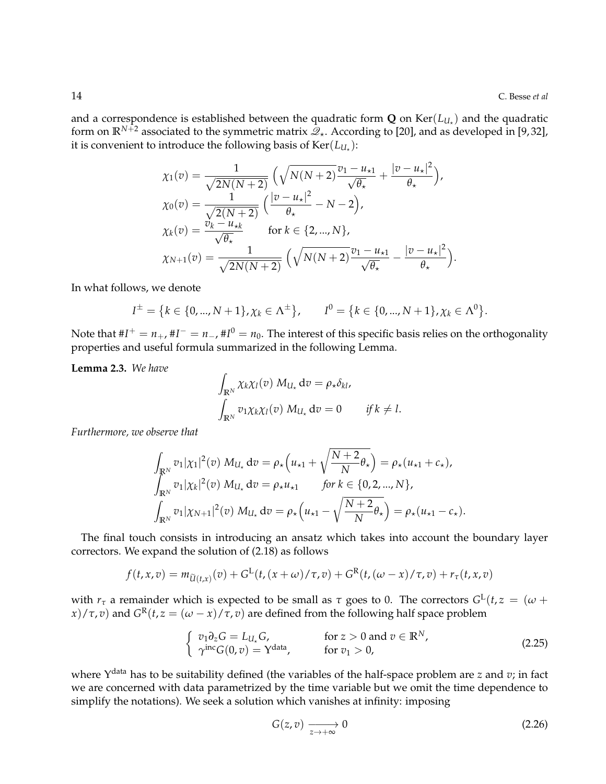and a correspondence is established between the quadratic form  $\mathbf Q$  on  $\text{Ker}(L_{U_\star})$  and the quadratic form on  $\mathbb{R}^{N+2}$  associated to the symmetric matrix  $\mathcal{Q}_*$ . According to [20], and as developed in [9,32], it is convenient to introduce the following basis of  $\text{Ker}(L_{U_\star})$ :

$$
\chi_1(v) = \frac{1}{\sqrt{2N(N+2)}} \left( \sqrt{N(N+2)} \frac{v_1 - u_{\star 1}}{\sqrt{\theta_{\star}}} + \frac{|v - u_{\star}|^2}{\theta_{\star}} \right),
$$
  
\n
$$
\chi_0(v) = \frac{1}{\sqrt{2(N+2)}} \left( \frac{|v - u_{\star}|^2}{\theta_{\star}} - N - 2 \right),
$$
  
\n
$$
\chi_k(v) = \frac{v_k - u_{\star k}}{\sqrt{\theta_{\star}}} \quad \text{for } k \in \{2, ..., N\},
$$
  
\n
$$
\chi_{N+1}(v) = \frac{1}{\sqrt{2N(N+2)}} \left( \sqrt{N(N+2)} \frac{v_1 - u_{\star 1}}{\sqrt{\theta_{\star}}} - \frac{|v - u_{\star}|^2}{\theta_{\star}} \right).
$$

In what follows, we denote

$$
I^{\pm} = \{k \in \{0, ..., N + 1\}, \chi_k \in \Lambda^{\pm}\}, \qquad I^0 = \{k \in \{0, ..., N + 1\}, \chi_k \in \Lambda^0\}.
$$

Note that  $\#I^+=n_+$ ,  $\#I^-=n_-$ ,  $\#I^0=n_0.$  The interest of this specific basis relies on the orthogonality properties and useful formula summarized in the following Lemma.

**Lemma 2.3.** *We have*

$$
\int_{\mathbb{R}^N} \chi_k \chi_l(v) M_{U_\star} dv = \rho_\star \delta_{kl},
$$
  

$$
\int_{\mathbb{R}^N} v_{1} \chi_k \chi_l(v) M_{U_\star} dv = 0 \quad if \, k \neq l.
$$

*Furthermore, we observe that*

$$
\int_{\mathbb{R}^N} v_1 |\chi_1|^2(v) M_{U_\star} dv = \rho_\star \Big( u_{\star 1} + \sqrt{\frac{N+2}{N}} \theta_\star \Big) = \rho_\star (u_{\star 1} + c_\star),
$$
\n
$$
\int_{\mathbb{R}^N} v_1 |\chi_k|^2(v) M_{U_\star} dv = \rho_\star u_{\star 1} \quad \text{for } k \in \{0, 2, ..., N\},
$$
\n
$$
\int_{\mathbb{R}^N} v_1 |\chi_{N+1}|^2(v) M_{U_\star} dv = \rho_\star \Big( u_{\star 1} - \sqrt{\frac{N+2}{N}} \theta_\star \Big) = \rho_\star (u_{\star 1} - c_\star).
$$

The final touch consists in introducing an ansatz which takes into account the boundary layer correctors. We expand the solution of (2.18) as follows

$$
f(t, x, v) = m_{\widetilde{U}(t, x)}(v) + G^{\mathcal{L}}(t, (x + \omega)/\tau, v) + G^{\mathcal{R}}(t, (\omega - x)/\tau, v) + r_{\tau}(t, x, v)
$$

with  $r_{\tau}$  a remainder which is expected to be small as  $\tau$  goes to 0. The correctors  $G^{\rm L}(t,z\,=\,(\omega +$ *x*)/ $\tau$ , *v*) and  $G^R(t, z = (\omega - x)/\tau, v)$  are defined from the following half space problem

$$
\begin{cases}\nv_1 \partial_z G = L_{U_\star} G, & \text{for } z > 0 \text{ and } v \in \mathbb{R}^N, \\
\gamma^{\text{inc}} G(0, v) = Y^{\text{data}}, & \text{for } v_1 > 0,\n\end{cases}
$$
\n(2.25)

where Υ data has to be suitability defined (the variables of the half-space problem are *z* and *v*; in fact we are concerned with data parametrized by the time variable but we omit the time dependence to simplify the notations). We seek a solution which vanishes at infinity: imposing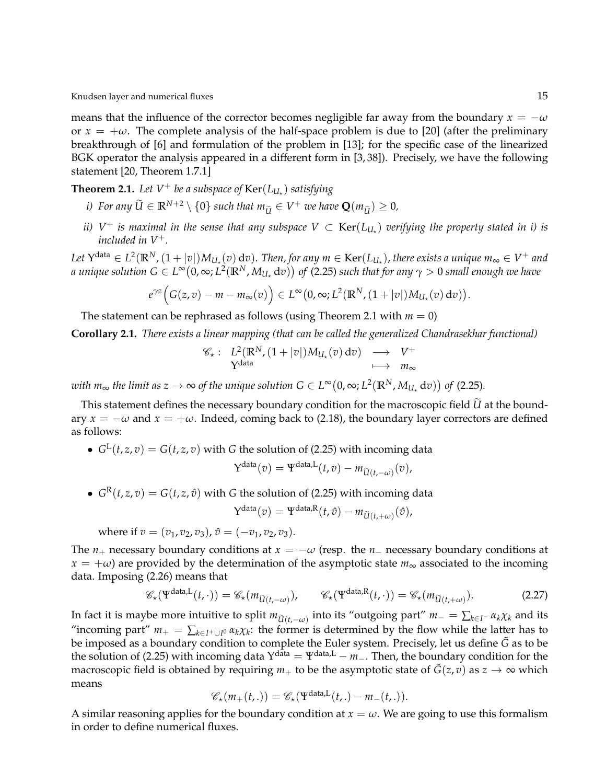means that the influence of the corrector becomes negligible far away from the boundary  $x = -\omega$ or  $x = +\omega$ . The complete analysis of the half-space problem is due to [20] (after the preliminary breakthrough of [6] and formulation of the problem in [13]; for the specific case of the linearized BGK operator the analysis appeared in a different form in [3, 38]). Precisely, we have the following statement [20, Theorem 1.7.1]

**Theorem 2.1.** Let  $V^+$  be a subspace of  $\text{Ker}(L_{U_\star})$  satisfying

- *i*) For any  $\widetilde{U} \in \mathbb{R}^{N+2} \setminus \{0\}$  such that  $m_{\widetilde{U}} \in V^+$  we have  $\mathbf{Q}(m_{\widetilde{U}}) \geq 0$ ,
- *ii)*  $V^+$  *is maximal in the sense that any subspace*  $V\subset \mathrm{Ker}(L_{U_\star})$  *verifying the property stated in i) is included in V*+*.*

Let  $Y^{\text{data}} \in L^2(\mathbb{R}^N, (1+|v|)M_{U_\star}(v)\,\mathrm{d} v)$ . Then, for any  $m \in \text{Ker}(L_{U_\star})$ , there exists a unique  $m_\infty \in V^+$  and  $a$  unique solution  $G\in L^\infty\big(0,\infty; L^2(\R^N,M_{U_\star}\,\mathrm{d} v)\big)$  of (2.25) such that for any  $\gamma>0$  small enough we have

$$
e^{\gamma z}\Big(G(z,v)-m-m_{\infty}(v)\Big)\in L^{\infty}\big(0,\infty;L^{2}(\mathbb{R}^{N},(1+|v|)M_{U_{\star}}(v)\,dv)\big).
$$

The statement can be rephrased as follows (using Theorem 2.1 with  $m = 0$ )

**Corollary 2.1.** *There exists a linear mapping (that can be called the generalized Chandrasekhar functional)*

$$
\mathscr{C}_\star: \begin{array}{ccc} L^2(\mathbb{R}^N, (1+|v|)M_{U_\star}(v) dv) & \longrightarrow & V^+ \\ Y^{\text{data}} & \longmapsto & m_\infty \end{array}
$$

 $with \ m_\infty \ the \ limit \ as \ z \to \infty \ of \ the \ unique \ solution \ G \in L^\infty\big(0,\infty; L^2(\mathbb{R}^N,M_{U_\star}\,\mathrm{d} v)\big) \ of \ (2.25).$ 

This statement defines the necessary boundary condition for the macroscopic field *U* at the boundary  $x = -\omega$  and  $x = +\omega$ . Indeed, coming back to (2.18), the boundary layer correctors are defined as follows:

•  $G^{L}(t, z, v) = G(t, z, v)$  with *G* the solution of (2.25) with incoming data data(*v*) = <u>Jata L</u>

$$
Y^{\text{data}}(v) = \Psi^{\text{data},L}(t,v) - m_{\widetilde{U}(t,-\omega)}(v),
$$

•  $G^{R}(t, z, v) = G(t, z, \hat{v})$  with *G* the solution of (2.25) with incoming data

$$
Y^{\text{data}}(v) = \Psi^{\text{data},R}(t,\hat{v}) - m_{\widetilde{U}(t,+\omega)}(\hat{v}),
$$

where if  $v = (v_1, v_2, v_3)$ ,  $\hat{v} = (-v_1, v_2, v_3)$ .

The  $n_+$  necessary boundary conditions at  $x = -\omega$  (resp. the  $n_-$  necessary boundary conditions at  $x = +\omega$ ) are provided by the determination of the asymptotic state  $m_{\infty}$  associated to the incoming data. Imposing (2.26) means that

$$
\mathscr{C}_{\star}(\Psi^{\text{data},L}(t,\cdot)) = \mathscr{C}_{\star}(m_{\widetilde{U}(t,-\omega)}), \qquad \mathscr{C}_{\star}(\Psi^{\text{data},R}(t,\cdot)) = \mathscr{C}_{\star}(m_{\widetilde{U}(t,+\omega)}).
$$
 (2.27)

In fact it is maybe more intuitive to split  $m_{\tilde{U}(t,-\omega)}$  into its "outgoing part"  $m_-\equiv \sum_{k\in I^-} \alpha_k \chi_k$  and its  $\cdots$ "incoming part"  $m_+ = \sum_{k \in I^+ \cup I^0} \alpha_k \chi_k$ : the former is determined by the flow while the latter has to be imposed as a boundary condition to complete the Euler system. Precisely, let us define *G*˜ as to be the solution of (2.25) with incoming data Y<sup>data</sup> = Ψ<sup>data,L</sup> − *m*−. Then, the boundary condition for the macroscopic field is obtained by requiring  $m_+$  to be the asymptotic state of  $\tilde{G}(z, v)$  as  $z \to \infty$  which means

$$
\mathscr{C}_{\star}(m_{+}(t,.))=\mathscr{C}_{\star}(\Psi^{\text{data},L}(t,.)-m_{-}(t,.)).
$$

A similar reasoning applies for the boundary condition at  $x = \omega$ . We are going to use this formalism in order to define numerical fluxes.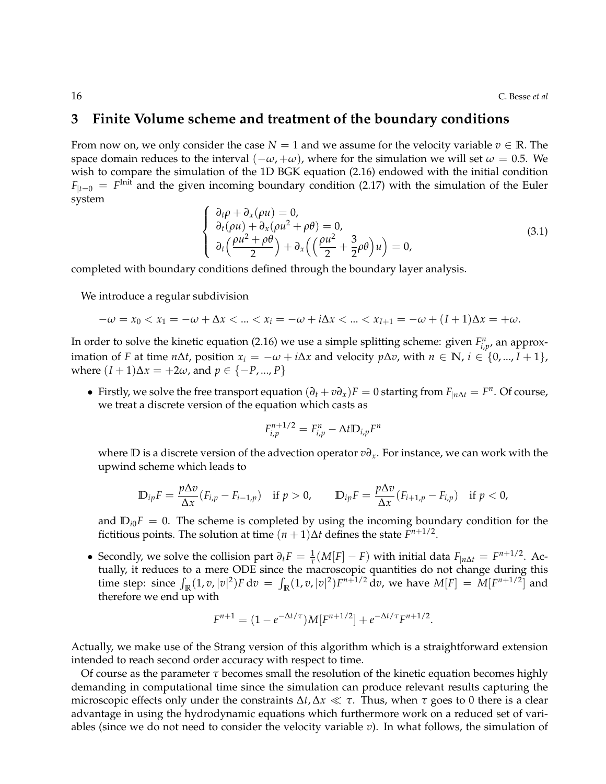### **3 Finite Volume scheme and treatment of the boundary conditions**

From now on, we only consider the case  $N = 1$  and we assume for the velocity variable  $v \in \mathbb{R}$ . The space domain reduces to the interval  $(-\omega, +\omega)$ , where for the simulation we will set  $\omega = 0.5$ . We wish to compare the simulation of the 1D BGK equation (2.16) endowed with the initial condition  $F_{|t=0} = F^{\text{Init}}$  and the given incoming boundary condition (2.17) with the simulation of the Euler system

$$
\begin{cases}\n\frac{\partial_t \rho + \partial_x(\rho u) = 0, \\
\partial_t(\rho u) + \partial_x(\rho u^2 + \rho \theta) = 0, \\
\partial_t \left(\frac{\rho u^2 + \rho \theta}{2}\right) + \partial_x \left(\left(\frac{\rho u^2}{2} + \frac{3}{2}\rho \theta\right) u\right) = 0,\n\end{cases}
$$
\n(3.1)

completed with boundary conditions defined through the boundary layer analysis.

We introduce a regular subdivision

$$
-\omega = x_0 < x_1 = -\omega + \Delta x < \ldots < x_i = -\omega + i\Delta x < \ldots < x_{I+1} = -\omega + (I+1)\Delta x = +\omega.
$$

In order to solve the kinetic equation (2.16) we use a simple splitting scheme: given  $F_{i,p}^n$ , an approximation of *F* at time *n*∆*t*, position  $x_i = -\omega + i\Delta x$  and velocity *p*∆*v*, with *n* ∈ **N**, *i* ∈ {0, ..., *I* + 1}, where  $(I + 1)Δx = +2ω$ , and  $p ∈ {−P, ..., P}$ 

• Firstly, we solve the free transport equation  $(\partial_t + v \partial_x)F = 0$  starting from  $F_{|n\Delta t} = F^n$ . Of course, we treat a discrete version of the equation which casts as

$$
F_{i,p}^{n+1/2} = F_{i,p}^n - \Delta t \mathbb{D}_{i,p} F^n
$$

where **D** is a discrete version of the advection operator *v∂x*. For instance, we can work with the upwind scheme which leads to

$$
\mathbb{D}_{ip}F = \frac{p\Delta v}{\Delta x}(F_{i,p} - F_{i-1,p}) \quad \text{if } p > 0, \qquad \mathbb{D}_{ip}F = \frac{p\Delta v}{\Delta x}(F_{i+1,p} - F_{i,p}) \quad \text{if } p < 0,
$$

and  $D_{i0}F = 0$ . The scheme is completed by using the incoming boundary condition for the fictitious points. The solution at time  $(n + 1)\Delta t$  defines the state  $F^{n+1/2}$ .

• Secondly, we solve the collision part  $\partial_t F = \frac{1}{\tau}(M[F] - F)$  with initial data  $F_{|n\Delta t} = F^{n+1/2}$ . Actually, it reduces to a mere ODE since the macroscopic quantities do not change during this time step: since  $\int_{\mathbb{R}} (1, v, |v|^2) F dv = \int_{\mathbb{R}} (1, v, |v|^2) F^{n+1/2} dv$ , we have  $M[F] = M[F^{n+1/2}]$  and therefore we end up with

$$
F^{n+1} = (1 - e^{-\Delta t/\tau})M[F^{n+1/2}] + e^{-\Delta t/\tau}F^{n+1/2}.
$$

Actually, we make use of the Strang version of this algorithm which is a straightforward extension intended to reach second order accuracy with respect to time.

Of course as the parameter  $\tau$  becomes small the resolution of the kinetic equation becomes highly demanding in computational time since the simulation can produce relevant results capturing the microscopic effects only under the constraints  $\Delta t$ ,  $\Delta x \ll \tau$ . Thus, when  $\tau$  goes to 0 there is a clear advantage in using the hydrodynamic equations which furthermore work on a reduced set of variables (since we do not need to consider the velocity variable *v*). In what follows, the simulation of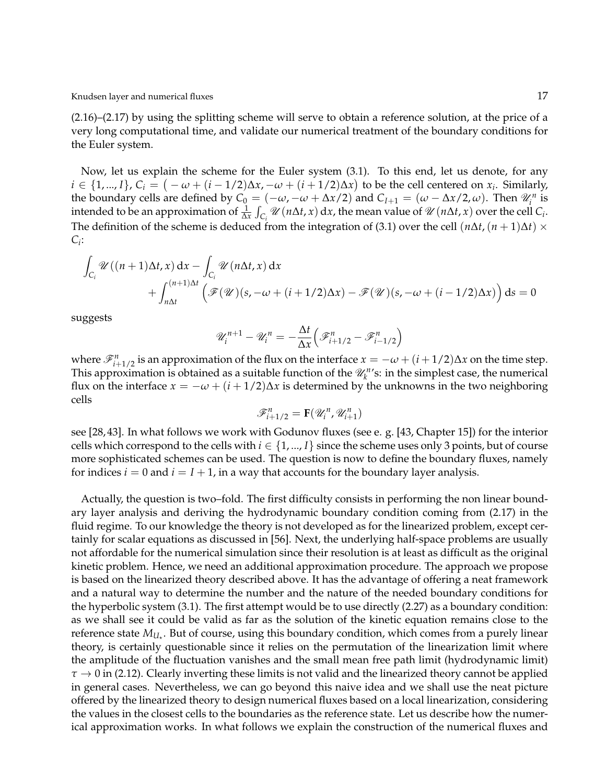(2.16)–(2.17) by using the splitting scheme will serve to obtain a reference solution, at the price of a very long computational time, and validate our numerical treatment of the boundary conditions for the Euler system.

Now, let us explain the scheme for the Euler system (3.1). To this end, let us denote, for any  $i \in \{1,...,I\}$ ,  $C_i = (−\omega + (i-1/2)\Delta x, −\omega + (i+1/2)\Delta x)$  to be the cell centered on  $x_i$ . Similarly, the boundary cells are defined by  $C_0 = (-\omega, -\omega + \Delta x/2)$  and  $C_{I+1} = (\omega - \Delta x/2, \omega)$ . Then  $\mathcal{U}_i^n$  is intended to be an approximation of  $\frac{1}{\Delta x} \int_{C_i} \mathcal{U}(n\Delta t, x) dx$ , the mean value of  $\mathcal{U}(n\Delta t, x)$  over the cell  $C_i$ . The definition of the scheme is deduced from the integration of (3.1) over the cell  $(n\Delta t, (n+1)\Delta t) \times$ *Ci* :

$$
\int_{C_i} \mathcal{U}((n+1)\Delta t, x) dx - \int_{C_i} \mathcal{U}(n\Delta t, x) dx \n+ \int_{n\Delta t}^{(n+1)\Delta t} \left( \mathcal{F}(\mathcal{U})(s, -\omega + (i+1/2)\Delta x) - \mathcal{F}(\mathcal{U})(s, -\omega + (i-1/2)\Delta x) \right) ds = 0
$$

suggests

$$
\mathscr{U}_i^{n+1} - \mathscr{U}_i^n = -\frac{\Delta t}{\Delta x} \left( \mathscr{F}_{i+1/2}^n - \mathscr{F}_{i-1/2}^n \right)
$$

where  $\mathscr{F}_{i+1/2}^n$  is an approximation of the flux on the interface  $x = -\omega + (i + 1/2)\Delta x$  on the time step. This approximation is obtained as a suitable function of the  $\mathcal{U}_k^{n}$ 's: in the simplest case, the numerical flux on the interface  $x = -\omega + (i + 1/2)\Delta x$  is determined by the unknowns in the two neighboring cells

$$
\mathcal{F}_{i+1/2}^n = \mathbf{F}(\mathcal{U}_i^n, \mathcal{U}_{i+1}^n)
$$

see [28, 43]. In what follows we work with Godunov fluxes (see e. g. [43, Chapter 15]) for the interior cells which correspond to the cells with  $i \in \{1, ..., I\}$  since the scheme uses only 3 points, but of course more sophisticated schemes can be used. The question is now to define the boundary fluxes, namely for indices  $i = 0$  and  $i = I + 1$ , in a way that accounts for the boundary layer analysis.

Actually, the question is two–fold. The first difficulty consists in performing the non linear boundary layer analysis and deriving the hydrodynamic boundary condition coming from (2.17) in the fluid regime. To our knowledge the theory is not developed as for the linearized problem, except certainly for scalar equations as discussed in [56]. Next, the underlying half-space problems are usually not affordable for the numerical simulation since their resolution is at least as difficult as the original kinetic problem. Hence, we need an additional approximation procedure. The approach we propose is based on the linearized theory described above. It has the advantage of offering a neat framework and a natural way to determine the number and the nature of the needed boundary conditions for the hyperbolic system (3.1). The first attempt would be to use directly (2.27) as a boundary condition: as we shall see it could be valid as far as the solution of the kinetic equation remains close to the reference state  $M_{U_{\star}}.$  But of course, using this boundary condition, which comes from a purely linear theory, is certainly questionable since it relies on the permutation of the linearization limit where the amplitude of the fluctuation vanishes and the small mean free path limit (hydrodynamic limit) *τ* → 0 in (2.12). Clearly inverting these limits is not valid and the linearized theory cannot be applied in general cases. Nevertheless, we can go beyond this naive idea and we shall use the neat picture offered by the linearized theory to design numerical fluxes based on a local linearization, considering the values in the closest cells to the boundaries as the reference state. Let us describe how the numerical approximation works. In what follows we explain the construction of the numerical fluxes and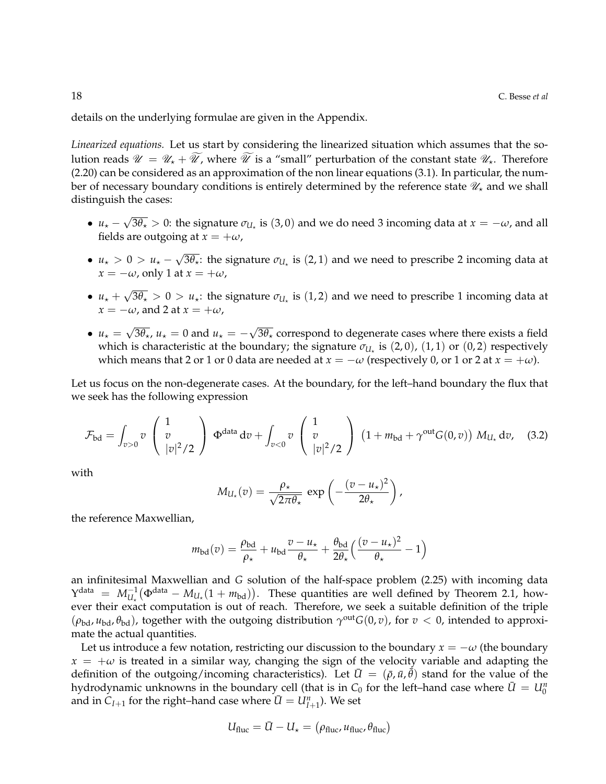details on the underlying formulae are given in the Appendix.

*Linearized equations.* Let us start by considering the linearized situation which assumes that the solution reads  $\mathcal{U} = \mathcal{U}_* + \mathcal{U}$ , where  $\mathcal{U}$  is a "small" perturbation of the constant state  $\mathcal{U}_*$ . Therefore (2.20) can be considered as an approximation of the non linear equations (3.1). In particular, the number of necessary boundary conditions is entirely determined by the reference state  $\mathcal{U}_\star$  and we shall distinguish the cases:

- $u_{\star}$  √  $3\theta_{\star}>0$ : the signature  $\sigma_{U_{\star}}$  is  $(3,0)$  and we do need 3 incoming data at  $x=-\omega$ , and all fields are outgoing at  $x = +\omega$ ,
- $u_{\star} > 0 > u_{\star}$  √  $\overline{3\theta_\star}$ : the signature  $\sigma_{U_\star}$  is  $(2,1)$  and we need to prescribe 2 incoming data at  $x = -\omega$ , only 1 at  $x = +\omega$ ,
- $\bullet$   $u_{\star}$  + √  $3\theta_\star > 0 > u_\star$ : the signature  $\sigma_{U_\star}$  is  $(1,2)$  and we need to prescribe 1 incoming data at  $x = -\omega$ , and 2 at  $x = +\omega$ ,
- $u_{\star} =$ √  $\overline{3\theta_\star}$ ,  $u_\star = 0$  and  $u_\star = -$ √ 3 $\theta_\star$  correspond to degenerate cases where there exists a field which is characteristic at the boundary; the signature  $\sigma_{U_\star}$  is (2,0), (1,1) or (0,2) respectively which means that 2 or 1 or 0 data are needed at  $x = -\omega$  (respectively 0, or 1 or 2 at  $x = +\omega$ ).

Let us focus on the non-degenerate cases. At the boundary, for the left–hand boundary the flux that we seek has the following expression

$$
\mathcal{F}_{\rm bd} = \int_{v>0} v \begin{pmatrix} 1 \\ v \\ |v|^2/2 \end{pmatrix} \Phi^{\rm data} dv + \int_{v<0} v \begin{pmatrix} 1 \\ v \\ |v|^2/2 \end{pmatrix} (1 + m_{\rm bd} + \gamma^{\rm out} G(0, v)) M_{U_{\star}} dv, \quad (3.2)
$$

with

$$
M_{U_{\star}}(v) = \frac{\rho_{\star}}{\sqrt{2\pi\theta_{\star}}} \exp\left(-\frac{(v-u_{\star})^2}{2\theta_{\star}}\right),
$$

the reference Maxwellian,

$$
m_{\text{bd}}(v) = \frac{\rho_{\text{bd}}}{\rho_{\star}} + u_{\text{bd}} \frac{v - u_{\star}}{\theta_{\star}} + \frac{\theta_{\text{bd}}}{2\theta_{\star}} \left( \frac{(v - u_{\star})^2}{\theta_{\star}} - 1 \right)
$$

an infinitesimal Maxwellian and *G* solution of the half-space problem (2.25) with incoming data  $Y^{\text{data}} = M_{U_{\star}}^{-1}(\Phi^{\text{data}} - M_{U_{\star}}(1 + m_{\text{bd}})).$  These quantities are well defined by Theorem 2.1, however their exact computation is out of reach. Therefore, we seek a suitable definition of the triple  $(\rho_{bd}, u_{bd}, \theta_{bd})$ , together with the outgoing distribution  $\gamma^{out}G(0, v)$ , for  $v < 0$ , intended to approximate the actual quantities.

Let us introduce a few notation, restricting our discussion to the boundary  $x = -\omega$  (the boundary  $x = +\omega$  is treated in a similar way, changing the sign of the velocity variable and adapting the definition of the outgoing/incoming characteristics). Let  $\bar{U} = (\bar{\rho}, \bar{u}, \bar{\theta})$  stand for the value of the hydrodynamic unknowns in the boundary cell (that is in  $C_0$  for the left–hand case where  $\bar{U} = U_0^n$ and in  $C_{I+1}$  for the right–hand case where  $\bar{U} = U_{I+1}^n$ ). We set

$$
U_{\text{fluc}} = \bar{U} - U_{\star} = (\rho_{\text{fluc}}, u_{\text{fluc}}, \theta_{\text{fluc}})
$$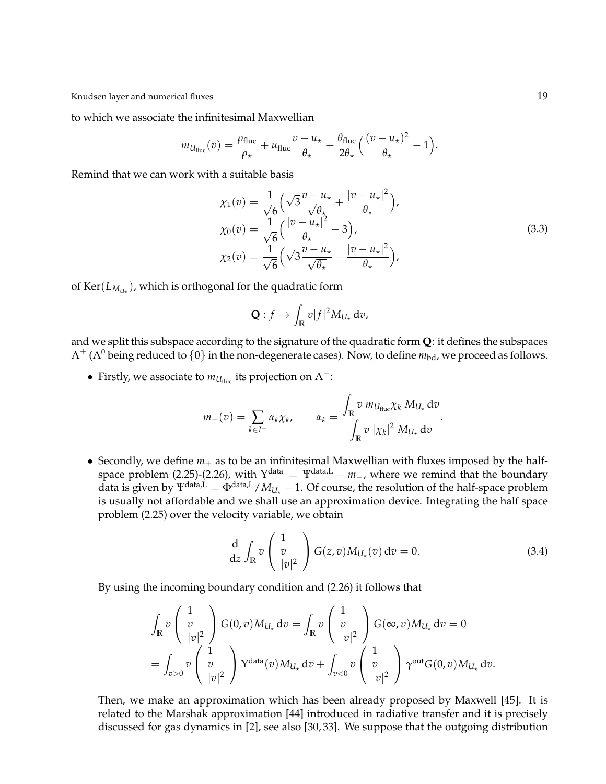to which we associate the infinitesimal Maxwellian

$$
m_{U_{\text{fluc}}}(v) = \frac{\rho_{\text{fluc}}}{\rho_{\star}} + u_{\text{fluc}} \frac{v - u_{\star}}{\theta_{\star}} + \frac{\theta_{\text{fluc}}}{2\theta_{\star}} \left(\frac{(v - u_{\star})^2}{\theta_{\star}} - 1\right).
$$

Remind that we can work with a suitable basis

$$
\chi_1(v) = \frac{1}{\sqrt{6}} \left( \sqrt{3} \frac{v - u_\star}{\sqrt{\theta_\star}} + \frac{|v - u_\star|^2}{\theta_\star} \right),
$$
  
\n
$$
\chi_0(v) = \frac{1}{\sqrt{6}} \left( \frac{|v - u_\star|^2}{\theta_\star} - 3 \right),
$$
  
\n
$$
\chi_2(v) = \frac{1}{\sqrt{6}} \left( \sqrt{3} \frac{v - u_\star}{\sqrt{\theta_\star}} - \frac{|v - u_\star|^2}{\theta_\star} \right),
$$
\n(3.3)

of  $\text{Ker}(L_{M_{U_{\star}}})$ , which is orthogonal for the quadratic form

$$
\mathbf{Q}:f\mapsto \int_{\mathbb{R}}v|f|^2M_{U_{\star}}\,\mathrm{d}v,
$$

and we split this subspace according to the signature of the quadratic form **Q**: it defines the subspaces  $Λ<sup>±</sup> (Λ<sup>0</sup> being reduced to {0} in the non-degenerate cases). Now, to define  $m_{bd}$ , we proceed as follows.$ 

• Firstly, we associate to  $m_{U_{\text{fluc}}}$  its projection on  $\Lambda^-$ :

$$
m_{-}(v) = \sum_{k \in I^{-}} \alpha_{k} \chi_{k}, \qquad \alpha_{k} = \frac{\int_{\mathbb{R}} v \, m_{U_{\text{fluc}}} \chi_{k} \, M_{U_{\star}} \, \mathrm{d}v}{\int_{\mathbb{R}} v \, |\chi_{k}|^{2} \, M_{U_{\star}} \, \mathrm{d}v}.
$$

• Secondly, we define  $m_+$  as to be an infinitesimal Maxwellian with fluxes imposed by the halfspace problem (2.25)-(2.26), with  $Y^{\text{data}} = Y^{\text{data},L} - m_$ , where we remind that the boundary data is given by  $\Psi^{\text{data},L} = \Phi^{\text{data},L}/M_{U_{\star}} - 1$ . Of course, the resolution of the half-space problem is usually not affordable and we shall use an approximation device. Integrating the half space problem (2.25) over the velocity variable, we obtain

$$
\frac{\mathrm{d}}{\mathrm{d}z} \int_{\mathbb{R}} v \begin{pmatrix} 1 \\ v \\ |v|^2 \end{pmatrix} G(z,v) M_{U_\star}(v) dv = 0.
$$
 (3.4)

By using the incoming boundary condition and (2.26) it follows that

$$
\int_{\mathbb{R}} v \begin{pmatrix} 1 \\ v \\ |v|^2 \end{pmatrix} G(0, v) M_{U_{\star}} dv = \int_{\mathbb{R}} v \begin{pmatrix} 1 \\ v \\ |v|^2 \end{pmatrix} G(\infty, v) M_{U_{\star}} dv = 0
$$
  
= 
$$
\int_{v>0} v \begin{pmatrix} 1 \\ v \\ |v|^2 \end{pmatrix} Y^{\text{data}}(v) M_{U_{\star}} dv + \int_{v<0} v \begin{pmatrix} 1 \\ v \\ |v|^2 \end{pmatrix} \gamma^{\text{out}} G(0, v) M_{U_{\star}} dv.
$$

Then, we make an approximation which has been already proposed by Maxwell [45]. It is related to the Marshak approximation [44] introduced in radiative transfer and it is precisely discussed for gas dynamics in [2], see also [30, 33]. We suppose that the outgoing distribution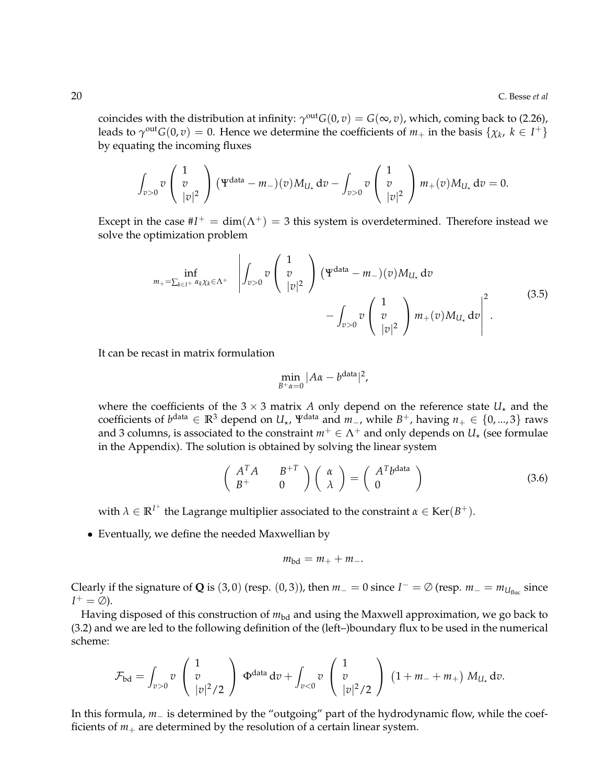coincides with the distribution at infinity:  $\gamma^{\text{out}}G(0, v) = G(\infty, v)$ , which, coming back to (2.26), leads to  $\gamma^{out}G(0,v) = 0$ . Hence we determine the coefficients of  $m_+$  in the basis  $\{\chi_k, k \in I^+\}$ by equating the incoming fluxes

$$
\int_{v>0} v\begin{pmatrix}1\\v\\|v|^2\end{pmatrix} (\Psi^{\text{data}}-m_{-})(v)M_{U_{\star}}dv-\int_{v>0} v\begin{pmatrix}1\\v\\|v|^2\end{pmatrix}m_{+}(v)M_{U_{\star}}dv=0.
$$

Except in the case  $#I^+ = dim(\Lambda^+) = 3$  this system is overdetermined. Therefore instead we solve the optimization problem

$$
m_{+} = \sum_{k \in I^{+}} \inf_{\alpha_{k} \chi_{k} \in \Lambda^{+}} \left| \int_{v>0} v \begin{pmatrix} 1 \\ v \\ |v|^{2} \end{pmatrix} (\Psi^{\text{data}} - m_{-})(v) M_{U_{\star}} dv - \int_{v>0} v \begin{pmatrix} 1 \\ v \\ |v|^{2} \end{pmatrix} m_{+}(v) M_{U_{\star}} dv \right|^{2}.
$$
\n(3.5)

It can be recast in matrix formulation

$$
\min_{B^+\alpha=0}|A\alpha-b^{\text{data}}|^2,
$$

where the coefficients of the  $3 \times 3$  matrix *A* only depend on the reference state  $U_{\star}$  and the coefficients of  $b^{data}$  ∈  $\mathbb{R}^3$  depend on  $U_{\star}$ ,  $\Psi^{data}$  and  $m_$ , while  $B^+$ , having  $n_+ \in \{0, ..., 3\}$  raws and 3 columns, is associated to the constraint  $m^+ \in \Lambda^+$  and only depends on  $U_*$  (see formulae in the Appendix). The solution is obtained by solving the linear system

$$
\begin{pmatrix} A^T A & B^{+T} \\ B^{+} & 0 \end{pmatrix} \begin{pmatrix} \alpha \\ \lambda \end{pmatrix} = \begin{pmatrix} A^T b^{data} \\ 0 \end{pmatrix}
$$
 (3.6)

with  $\lambda \in \mathbb{R}^{I^+}$  the Lagrange multiplier associated to the constraint  $\alpha \in \text{Ker}(B^+)$ .

• Eventually, we define the needed Maxwellian by

$$
m_{\rm bd}=m_++m_-.
$$

Clearly if the signature of **Q** is (3, 0) (resp. (0, 3)), then  $m_$  = 0 since  $I^-$  = ∅ (resp.  $m_$  =  $m_{U_{\text{fluc}}}$  since  $I^+ = \emptyset$ ).

Having disposed of this construction of  $m_{bd}$  and using the Maxwell approximation, we go back to (3.2) and we are led to the following definition of the (left–)boundary flux to be used in the numerical scheme:

$$
\mathcal{F}_{\rm bd} = \int_{v>0} v \begin{pmatrix} 1 \\ v \\ |v|^2/2 \end{pmatrix} \Phi^{\rm data} dv + \int_{v<0} v \begin{pmatrix} 1 \\ v \\ |v|^2/2 \end{pmatrix} (1+m_-+m_+) M_{U_{\star}} dv.
$$

In this formula, *m*− is determined by the "outgoing" part of the hydrodynamic flow, while the coefficients of  $m_+$  are determined by the resolution of a certain linear system.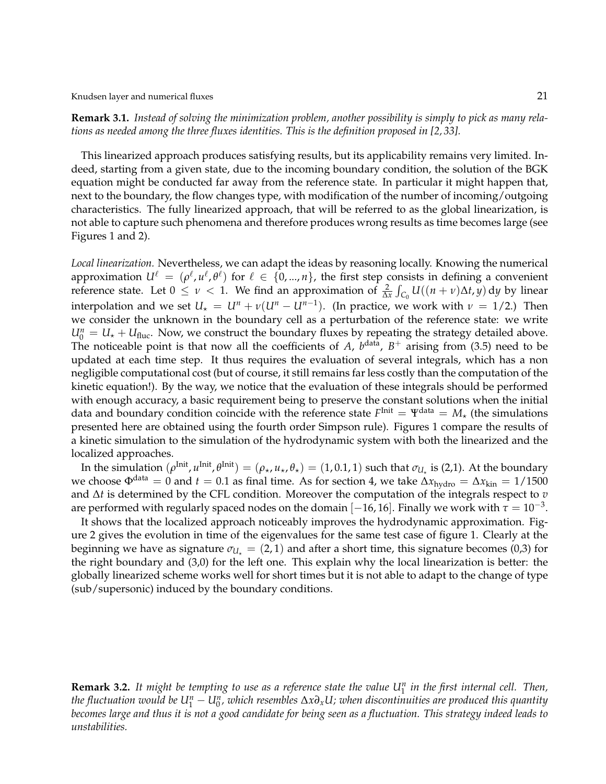Knudsen layer and numerical fluxes 21 and 21 and 22 and 22 and 22 and 22 and 22 and 22 and 22 and 22 and 22 and 22 and 22 and 22 and 22 and 22 and 22 and 22 and 22 and 22 and 22 and 22 and 22 and 22 and 22 and 22 and 22 an

**Remark 3.1.** *Instead of solving the minimization problem, another possibility is simply to pick as many relations as needed among the three fluxes identities. This is the definition proposed in [2, 33].*

This linearized approach produces satisfying results, but its applicability remains very limited. Indeed, starting from a given state, due to the incoming boundary condition, the solution of the BGK equation might be conducted far away from the reference state. In particular it might happen that, next to the boundary, the flow changes type, with modification of the number of incoming/outgoing characteristics. The fully linearized approach, that will be referred to as the global linearization, is not able to capture such phenomena and therefore produces wrong results as time becomes large (see Figures 1 and 2).

*Local linearization.* Nevertheless, we can adapt the ideas by reasoning locally. Knowing the numerical approximation  $U^\ell\,=\, (\rho^\ell, u^\ell, \theta^\ell)$  for  $\ell\,\in\,\{0,...,n\},$  the first step consists in defining a convenient reference state. Let  $0 \le \nu < 1$ . We find an approximation of  $\frac{2}{\Delta x} \int_{C_0} U((n+\nu)\Delta t, y) dy$  by linear interpolation and we set  $U_{\star} = U^{n} + \nu(U^{n} - U^{n-1})$ . (In practice, we work with  $\nu = 1/2$ .) Then we consider the unknown in the boundary cell as a perturbation of the reference state: we write  $U_0^n = U_* + U_{\text{fluc}}$ . Now, we construct the boundary fluxes by repeating the strategy detailed above. The noticeable point is that now all the coefficients of  $A$ ,  $b$ <sup>data</sup>,  $B$ <sup>+</sup> arising from (3.5) need to be updated at each time step. It thus requires the evaluation of several integrals, which has a non negligible computational cost (but of course, it still remains far less costly than the computation of the kinetic equation!). By the way, we notice that the evaluation of these integrals should be performed with enough accuracy, a basic requirement being to preserve the constant solutions when the initial data and boundary condition coincide with the reference state  $F^{\text{Init}} = \Psi^{\text{data}} = M_{\star}$  (the simulations presented here are obtained using the fourth order Simpson rule). Figures 1 compare the results of a kinetic simulation to the simulation of the hydrodynamic system with both the linearized and the localized approaches.

In the simulation  $(\rho^{\text{Init}}, u^{\text{Init}}, \theta^{\text{Init}}) = (\rho_\star, u_\star, \theta_\star) = (1, 0.1, 1)$  such that  $\sigma_{U_\star}$  is (2,1). At the boundary we choose  $\Phi^{\text{data}} = 0$  and  $t = 0.1$  as final time. As for section 4, we take  $\Delta x_{\text{hydro}} = \Delta x_{\text{kin}} = 1/1500$ and ∆*t* is determined by the CFL condition. Moreover the computation of the integrals respect to *v* are performed with regularly spaced nodes on the domain  $[-16, 16]$ . Finally we work with  $\tau = 10^{-3}$ .

It shows that the localized approach noticeably improves the hydrodynamic approximation. Figure 2 gives the evolution in time of the eigenvalues for the same test case of figure 1. Clearly at the beginning we have as signature  $\sigma_{U_{\star}} = (2, 1)$  and after a short time, this signature becomes (0,3) for the right boundary and (3,0) for the left one. This explain why the local linearization is better: the globally linearized scheme works well for short times but it is not able to adapt to the change of type (sub/supersonic) induced by the boundary conditions.

**Remark 3.2.** *It might be tempting to use as a reference state the value U<sup>n</sup>* 1 *in the first internal cell. Then, the fluctuation would be*  $U_1^n-U_0^n$ *, which resembles*  $\Delta x\partial_xU$ *; when discontinuities are produced this quantity becomes large and thus it is not a good candidate for being seen as a fluctuation. This strategy indeed leads to unstabilities.*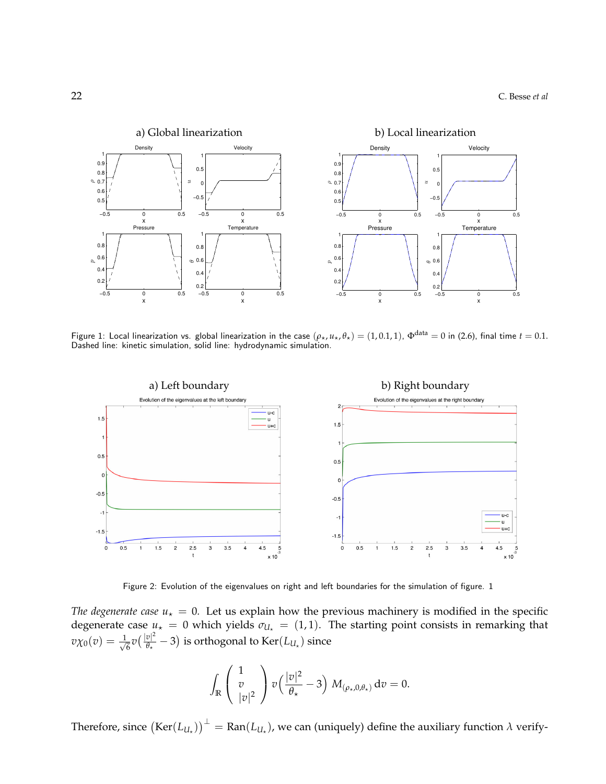

Figure 1: Local linearization vs. global linearization in the case  $(\rho_\star, u_\star, \theta_\star) = (1, 0.1, 1)$ ,  $\Phi^{\text{data}} = 0$  in (2.6), final time  $t = 0.1$ . Dashed line: kinetic simulation, solid line: hydrodynamic simulation.



Figure 2: Evolution of the eigenvalues on right and left boundaries for the simulation of figure. 1

*The degenerate case*  $u<sub>\star</sub> = 0$ . Let us explain how the previous machinery is modified in the specific degenerate case  $u_* = 0$  which yields  $\sigma_{U_*} = (1, 1)$ . The starting point consists in remarking that  $v\chi_0(v)=\frac{1}{\sqrt{2}}$  $\frac{1}{6}v\left(\frac{|v|^2}{\theta_\star}\right)$  $\frac{\partial |P|}{\partial x} - 3$ ) is orthogonal to Ker $(L_{U_{\star}})$  since

$$
\int_{\mathbb{R}} \left( \begin{array}{c} 1 \\ v \\ |v|^2 \end{array} \right) v \left( \frac{|v|^2}{\theta_\star} - 3 \right) M_{(\rho_\star, 0, \theta_\star)} dv = 0.
$$

Therefore, since  $\left(\text{Ker}(L_{U_\star})\right)^\perp = \text{Ran}(L_{U_\star})$ , we can (uniquely) define the auxiliary function  $\lambda$  verify-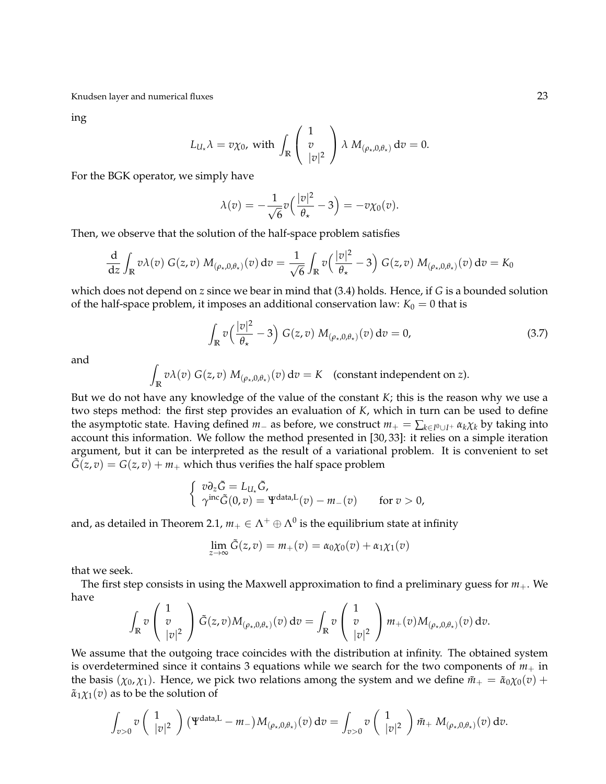ing

$$
L_{U_{\star}}\lambda = v\chi_0, \text{ with } \int_{\mathbb{R}} \left( \begin{array}{c} 1 \\ v \\ |v|^2 \end{array} \right) \lambda \ M_{(\rho_{\star},0,\theta_{\star})} dv = 0.
$$

For the BGK operator, we simply have

$$
\lambda(v) = -\frac{1}{\sqrt{6}}v\left(\frac{|v|^2}{\theta_\star} - 3\right) = -v\chi_0(v).
$$

Then, we observe that the solution of the half-space problem satisfies

$$
\frac{\mathrm{d}}{\mathrm{d}z} \int_{\mathbb{R}} v \lambda(v) G(z,v) M_{(\rho_\star,0,\theta_\star)}(v) dv = \frac{1}{\sqrt{6}} \int_{\mathbb{R}} v \left( \frac{|v|^2}{\theta_\star} - 3 \right) G(z,v) M_{(\rho_\star,0,\theta_\star)}(v) dv = K_0
$$

which does not depend on *z* since we bear in mind that (3.4) holds. Hence, if *G* is a bounded solution of the half-space problem, it imposes an additional conservation law:  $K_0 = 0$  that is

$$
\int_{\mathbb{R}} v\left(\frac{|v|^2}{\theta_\star} - 3\right) G(z, v) M_{(\rho_\star, 0, \theta_\star)}(v) dv = 0,
$$
\n(3.7)

and

$$
\int_{\mathbb{R}} v \lambda(v) G(z, v) M_{(\rho_{\star}, 0, \theta_{\star})}(v) dv = K \quad \text{(constant independent on } z).
$$

But we do not have any knowledge of the value of the constant *K*; this is the reason why we use a two steps method: the first step provides an evaluation of *K*, which in turn can be used to define the asymptotic state. Having defined  $m_-\$  as before, we construct  $m_+ = \sum_{k \in I^0 \cup I^+} \alpha_k \chi_k$  by taking into account this information. We follow the method presented in [30, 33]: it relies on a simple iteration argument, but it can be interpreted as the result of a variational problem. It is convenient to set  $\tilde{G}(z, v) = G(z, v) + m_+$  which thus verifies the half space problem

$$
\begin{cases}\n v\partial_z \tilde{G} = L_{U_\star} \tilde{G}, \\
 \gamma^{\text{inc}} \tilde{G}(0, v) = \Psi^{\text{data}, L}(v) - m_-(v) \quad \text{for } v > 0,\n\end{cases}
$$

and, as detailed in Theorem 2.1,  $m_+ \in \Lambda^+ \oplus \Lambda^0$  is the equilibrium state at infinity

$$
\lim_{z \to \infty} \tilde{G}(z, v) = m_+(v) = \alpha_0 \chi_0(v) + \alpha_1 \chi_1(v)
$$

that we seek.

The first step consists in using the Maxwell approximation to find a preliminary guess for *m*+. We have

$$
\int_{\mathbb{R}} v \begin{pmatrix} 1 \\ v \\ |v|^2 \end{pmatrix} \tilde{G}(z,v) M_{(\rho_\star,0,\theta_\star)}(v) dv = \int_{\mathbb{R}} v \begin{pmatrix} 1 \\ v \\ |v|^2 \end{pmatrix} m_+(v) M_{(\rho_\star,0,\theta_\star)}(v) dv.
$$

We assume that the outgoing trace coincides with the distribution at infinity. The obtained system is overdetermined since it contains 3 equations while we search for the two components of  $m_+$  in the basis ( $\chi_0$ , $\chi_1$ ). Hence, we pick two relations among the system and we define  $\tilde{m}_+ = \tilde{\alpha}_0 \chi_0(v) +$  $\tilde{\alpha}_1 \chi_1(v)$  as to be the solution of

$$
\int_{v>0} v\left(\begin{array}{c}1\\|v|^2\end{array}\right) \left(\Psi^{\text{data},L}-m_-\right) M_{(\rho_\star,0,\theta_\star)}(v) \, \mathrm{d}v = \int_{v>0} v\left(\begin{array}{c}1\\|v|^2\end{array}\right) \tilde{m}_+ M_{(\rho_\star,0,\theta_\star)}(v) \, \mathrm{d}v.
$$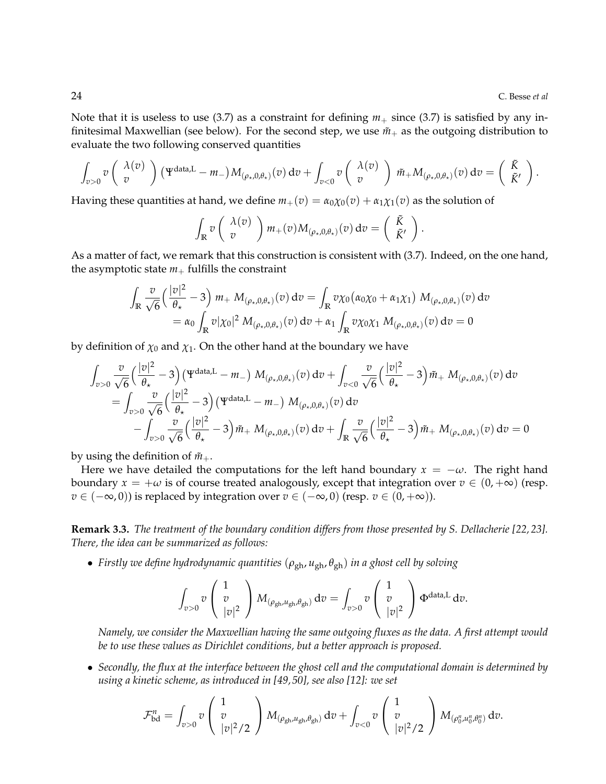Note that it is useless to use (3.7) as a constraint for defining  $m_+$  since (3.7) is satisfied by any infinitesimal Maxwellian (see below). For the second step, we use  $\tilde{m}_+$  as the outgoing distribution to evaluate the two following conserved quantities

$$
\int_{v>0} v\left(\begin{array}{c} \lambda(v) \\ v \end{array}\right) (\Psi^{\text{data},L} - m_-) M_{(\rho_\star,0,\theta_\star)}(v) \, dv + \int_{v<0} v\left(\begin{array}{c} \lambda(v) \\ v \end{array}\right) \tilde{m}_+ M_{(\rho_\star,0,\theta_\star)}(v) \, dv = \left(\begin{array}{c} \tilde{K} \\ \tilde{K}' \end{array}\right).
$$

Having these quantities at hand, we define  $m_+(v) = \alpha_0 \chi_0(v) + \alpha_1 \chi_1(v)$  as the solution of

$$
\int_{\mathbb{R}} v\left(\begin{array}{c} \lambda(v) \\ v \end{array}\right) m_+(v) M_{(\rho_\star,0,\theta_\star)}(v) dv = \left(\begin{array}{c} \tilde{K} \\ \tilde{K}' \end{array}\right).
$$

As a matter of fact, we remark that this construction is consistent with (3.7). Indeed, on the one hand, the asymptotic state  $m_+$  fulfills the constraint

$$
\int_{\mathbb{R}} \frac{v}{\sqrt{6}} \left( \frac{|v|^2}{\theta_\star} - 3 \right) m_+ M_{(\rho_\star,0,\theta_\star)}(v) dv = \int_{\mathbb{R}} v \chi_0 (\alpha_0 \chi_0 + \alpha_1 \chi_1) M_{(\rho_\star,0,\theta_\star)}(v) dv
$$
  
=  $\alpha_0 \int_{\mathbb{R}} v |\chi_0|^2 M_{(\rho_\star,0,\theta_\star)}(v) dv + \alpha_1 \int_{\mathbb{R}} v \chi_0 \chi_1 M_{(\rho_\star,0,\theta_\star)}(v) dv = 0$ 

by definition of  $\chi_0$  and  $\chi_1$ . On the other hand at the boundary we have

$$
\int_{v>0} \frac{v}{\sqrt{6}} \left(\frac{|v|^2}{\theta_\star} - 3\right) \left(\Psi^{\text{data},L} - m_-\right) M_{(\rho_\star,0,\theta_\star)}(v) \, dv + \int_{v<0} \frac{v}{\sqrt{6}} \left(\frac{|v|^2}{\theta_\star} - 3\right) \tilde{m}_+ M_{(\rho_\star,0,\theta_\star)}(v) \, dv
$$
\n
$$
= \int_{v>0} \frac{v}{\sqrt{6}} \left(\frac{|v|^2}{\theta_\star} - 3\right) \left(\Psi^{\text{data},L} - m_-\right) M_{(\rho_\star,0,\theta_\star)}(v) \, dv - \int_{\mathbb{R}} \frac{v}{\sqrt{6}} \left(\frac{|v|^2}{\theta_\star} - 3\right) \tilde{m}_+ M_{(\rho_\star,0,\theta_\star)}(v) \, dv = 0
$$

by using the definition of  $\tilde{m}_{+}$ .

Here we have detailed the computations for the left hand boundary  $x = -\omega$ . The right hand boundary  $x = +\omega$  is of course treated analogously, except that integration over  $v \in (0, +\infty)$  (resp. *v* ∈ (−∞, 0)) is replaced by integration over *v* ∈ (−∞, 0) (resp. *v* ∈ (0, +∞)).

**Remark 3.3.** *The treatment of the boundary condition differs from those presented by S. Dellacherie [22, 23]. There, the idea can be summarized as follows:*

• *Firstly we define hydrodynamic quantities* (*ρ*gh, *u*gh, *θ*gh) *in a ghost cell by solving*

$$
\int_{v>0} v\left(\begin{array}{c}1\\v\\|v|^2\end{array}\right) M_{(\rho_{gh},u_{gh},\theta_{gh})} dv = \int_{v>0} v\left(\begin{array}{c}1\\v\\|v|^2\end{array}\right) \Phi^{\text{data},L} dv.
$$

*Namely, we consider the Maxwellian having the same outgoing fluxes as the data. A first attempt would be to use these values as Dirichlet conditions, but a better approach is proposed.*

• *Secondly, the flux at the interface between the ghost cell and the computational domain is determined by using a kinetic scheme, as introduced in [49, 50], see also [12]: we set*

$$
\mathcal{F}_{\text{bd}}^n = \int_{v>0} v \left( \frac{1}{|v|^2/2} \right) M_{(\rho_{\text{gh}}, u_{\text{gh}}, \theta_{\text{gh}})} \, \mathrm{d}v + \int_{v<0} v \left( \frac{1}{|v|^2/2} \right) M_{(\rho_0^n, u_0^n, \theta_0^n)} \, \mathrm{d}v.
$$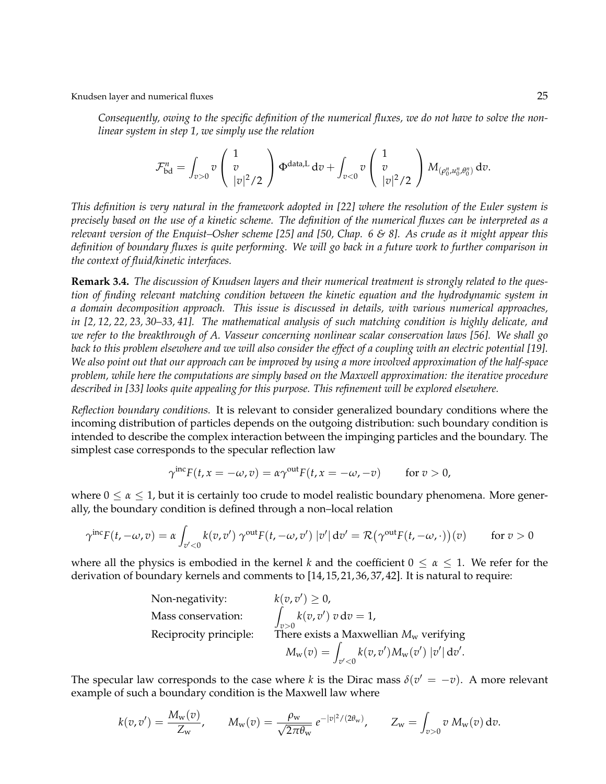*Consequently, owing to the specific definition of the numerical fluxes, we do not have to solve the nonlinear system in step 1, we simply use the relation*

$$
\mathcal{F}_{\text{bd}}^n = \int_{v>0} v \left( \frac{1}{|v|^2/2} \right) \Phi^{\text{data},L} dv + \int_{v<0} v \left( \frac{1}{|v|^2/2} \right) M_{(\rho_0^n, u_0^n, \theta_0^n)} dv.
$$

*This definition is very natural in the framework adopted in [22] where the resolution of the Euler system is precisely based on the use of a kinetic scheme. The definition of the numerical fluxes can be interpreted as a relevant version of the Enquist–Osher scheme [25] and [50, Chap. 6 & 8]. As crude as it might appear this definition of boundary fluxes is quite performing. We will go back in a future work to further comparison in the context of fluid/kinetic interfaces.*

**Remark 3.4.** *The discussion of Knudsen layers and their numerical treatment is strongly related to the question of finding relevant matching condition between the kinetic equation and the hydrodynamic system in a domain decomposition approach. This issue is discussed in details, with various numerical approaches, in [2, 12, 22, 23, 30–33, 41]. The mathematical analysis of such matching condition is highly delicate, and we refer to the breakthrough of A. Vasseur concerning nonlinear scalar conservation laws [56]. We shall go back to this problem elsewhere and we will also consider the effect of a coupling with an electric potential [19]. We also point out that our approach can be improved by using a more involved approximation of the half-space problem, while here the computations are simply based on the Maxwell approximation: the iterative procedure described in [33] looks quite appealing for this purpose. This refinement will be explored elsewhere.*

*Reflection boundary conditions.* It is relevant to consider generalized boundary conditions where the incoming distribution of particles depends on the outgoing distribution: such boundary condition is intended to describe the complex interaction between the impinging particles and the boundary. The simplest case corresponds to the specular reflection law

$$
\gamma^{\text{inc}} F(t, x = -\omega, v) = \alpha \gamma^{\text{out}} F(t, x = -\omega, -v) \quad \text{for } v > 0,
$$

where  $0 \le \alpha \le 1$ , but it is certainly too crude to model realistic boundary phenomena. More generally, the boundary condition is defined through a non–local relation

$$
\gamma^{\text{inc}} F(t, -\omega, v) = \alpha \int_{v' < 0} k(v, v') \, \gamma^{\text{out}} F(t, -\omega, v') \, |v'| \, \mathrm{d}v' = \mathcal{R} \big( \gamma^{\text{out}} F(t, -\omega, \cdot) \big) (v) \qquad \text{for } v > 0
$$

where all the physics is embodied in the kernel *k* and the coefficient  $0 \le \alpha \le 1$ . We refer for the derivation of boundary kernels and comments to [14, 15, 21, 36, 37, 42]. It is natural to require:

Non-negativity: 
$$
k(v, v') \ge 0
$$
,  
\nMass conservation:  $\int_{v>0} k(v, v') v dv = 1$ ,  
\nReciprocity principle: There exists a Maxwellian  $M_w$  verifying  
\n $M_w(v) = \int_{v' < 0} k(v, v') M_w(v') |v'| dv'$ .

The specular law corresponds to the case where *k* is the Dirac mass  $\delta(v' = -v)$ . A more relevant example of such a boundary condition is the Maxwell law where

$$
k(v, v') = \frac{M_{\rm w}(v)}{Z_{\rm w}}, \qquad M_{\rm w}(v) = \frac{\rho_{\rm w}}{\sqrt{2\pi\theta_{\rm w}}} e^{-|v|^2/(2\theta_{\rm w})}, \qquad Z_{\rm w} = \int_{v>0} v \, M_{\rm w}(v) \, dv.
$$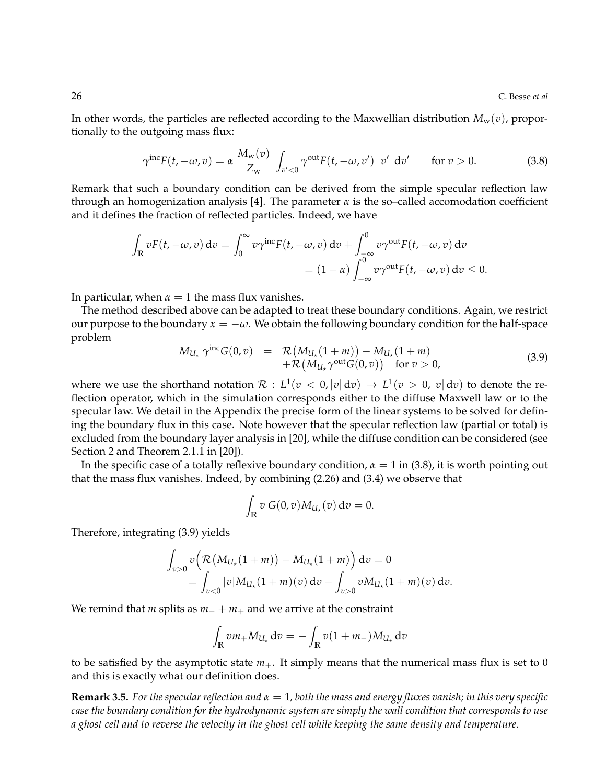In other words, the particles are reflected according to the Maxwellian distribution  $M_w(v)$ , proportionally to the outgoing mass flux:

$$
\gamma^{\text{inc}}F(t, -\omega, v) = \alpha \frac{M_{\text{w}}(v)}{Z_{\text{w}}} \int_{v' < 0} \gamma^{\text{out}} F(t, -\omega, v') \left| v' \right| dv' \quad \text{for } v > 0. \tag{3.8}
$$

Remark that such a boundary condition can be derived from the simple specular reflection law through an homogenization analysis [4]. The parameter  $\alpha$  is the so-called accomodation coefficient and it defines the fraction of reflected particles. Indeed, we have

$$
\int_{\mathbb{R}} vF(t, -\omega, v) dv = \int_{0}^{\infty} v\gamma^{\text{inc}} F(t, -\omega, v) dv + \int_{-\infty}^{0} v\gamma^{\text{out}} F(t, -\omega, v) dv
$$
  
=  $(1 - \alpha) \int_{-\infty}^{0} v\gamma^{\text{out}} F(t, -\omega, v) dv \leq 0.$ 

In particular, when  $\alpha = 1$  the mass flux vanishes.

The method described above can be adapted to treat these boundary conditions. Again, we restrict our purpose to the boundary  $x = -\omega$ . We obtain the following boundary condition for the half-space problem

$$
M_{U_{\star}} \gamma^{\text{inc}} G(0, v) = \mathcal{R}(M_{U_{\star}}(1 + m)) - M_{U_{\star}}(1 + m) + \mathcal{R}(M_{U_{\star}} \gamma^{\text{out}} G(0, v)) \text{ for } v > 0,
$$
\n(3.9)

where we use the shorthand notation  $\mathcal{R}: L^1(v < 0, |v| \, \mathrm{d} v) \to L^1(v > 0, |v| \, \mathrm{d} v)$  to denote the reflection operator, which in the simulation corresponds either to the diffuse Maxwell law or to the specular law. We detail in the Appendix the precise form of the linear systems to be solved for defining the boundary flux in this case. Note however that the specular reflection law (partial or total) is excluded from the boundary layer analysis in [20], while the diffuse condition can be considered (see Section 2 and Theorem 2.1.1 in [20]).

In the specific case of a totally reflexive boundary condition,  $\alpha = 1$  in (3.8), it is worth pointing out that the mass flux vanishes. Indeed, by combining (2.26) and (3.4) we observe that

$$
\int_{\mathbb{R}} v \ G(0,v) M_{U_{\star}}(v) \ dv = 0.
$$

Therefore, integrating (3.9) yields

$$
\int_{v>0} v \Big( \mathcal{R} \big( M_{U_{\star}}(1+m) \big) - M_{U_{\star}}(1+m) \Big) dv = 0
$$
  
= 
$$
\int_{v<0} |v| M_{U_{\star}}(1+m)(v) dv - \int_{v>0} v M_{U_{\star}}(1+m)(v) dv.
$$

We remind that *m* splits as *m*<sup>−</sup> + *m*<sup>+</sup> and we arrive at the constraint

$$
\int_{\mathbb{R}} v m_{+} M_{U_{\star}} \, \mathrm{d}v = - \int_{\mathbb{R}} v (1 + m_{-}) M_{U_{\star}} \, \mathrm{d}v
$$

to be satisfied by the asymptotic state  $m_+$ . It simply means that the numerical mass flux is set to 0 and this is exactly what our definition does.

**Remark 3.5.** *For the specular reflection and*  $\alpha = 1$ , *both the mass and energy fluxes vanish; in this very specific case the boundary condition for the hydrodynamic system are simply the wall condition that corresponds to use a ghost cell and to reverse the velocity in the ghost cell while keeping the same density and temperature.*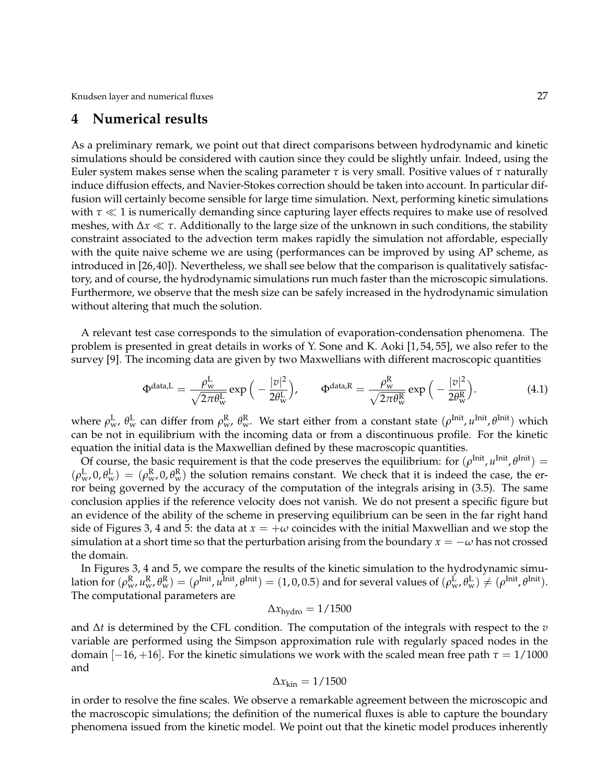### **4 Numerical results**

As a preliminary remark, we point out that direct comparisons between hydrodynamic and kinetic simulations should be considered with caution since they could be slightly unfair. Indeed, using the Euler system makes sense when the scaling parameter *τ* is very small. Positive values of *τ* naturally induce diffusion effects, and Navier-Stokes correction should be taken into account. In particular diffusion will certainly become sensible for large time simulation. Next, performing kinetic simulations with  $\tau \ll 1$  is numerically demanding since capturing layer effects requires to make use of resolved meshes, with ∆*x τ*. Additionally to the large size of the unknown in such conditions, the stability constraint associated to the advection term makes rapidly the simulation not affordable, especially with the quite naive scheme we are using (performances can be improved by using AP scheme, as introduced in [26, 40]). Nevertheless, we shall see below that the comparison is qualitatively satisfactory, and of course, the hydrodynamic simulations run much faster than the microscopic simulations. Furthermore, we observe that the mesh size can be safely increased in the hydrodynamic simulation without altering that much the solution.

A relevant test case corresponds to the simulation of evaporation-condensation phenomena. The problem is presented in great details in works of Y. Sone and K. Aoki [1, 54, 55], we also refer to the survey [9]. The incoming data are given by two Maxwellians with different macroscopic quantities

$$
\Phi^{\text{data,L}} = \frac{\rho_{\text{w}}^{\text{L}}}{\sqrt{2\pi\theta_{\text{w}}^{\text{L}}}} \exp\left(-\frac{|v|^2}{2\theta_{\text{w}}^{\text{L}}}\right), \qquad \Phi^{\text{data,R}} = \frac{\rho_{\text{w}}^{\text{R}}}{\sqrt{2\pi\theta_{\text{w}}^{\text{R}}}} \exp\left(-\frac{|v|^2}{2\theta_{\text{w}}^{\text{R}}}\right). \tag{4.1}
$$

where  $\rho_w^L$ ,  $\theta_w^L$  can differ from  $\rho_w^R$ ,  $\theta_w^R$ . We start either from a constant state  $(\rho^{Init}, u^{Init}, \theta^{Init})$  which can be not in equilibrium with the incoming data or from a discontinuous profile. For the kinetic equation the initial data is the Maxwellian defined by these macroscopic quantities.

Of course, the basic requirement is that the code preserves the equilibrium: for  $(\rho^{\text{Init}}, u^{\text{Init}}, \theta^{\text{Init}}) =$  $(\rho_{w}^{L}, 0, \theta_{w}^{L}) = (\rho_{w}^{R}, 0, \theta_{w}^{R})$  the solution remains constant. We check that it is indeed the case, the error being governed by the accuracy of the computation of the integrals arising in (3.5). The same conclusion applies if the reference velocity does not vanish. We do not present a specific figure but an evidence of the ability of the scheme in preserving equilibrium can be seen in the far right hand side of Figures 3, 4 and 5: the data at  $x = +\omega$  coincides with the initial Maxwellian and we stop the simulation at a short time so that the perturbation arising from the boundary  $x = -\omega$  has not crossed the domain.

In Figures 3, 4 and 5, we compare the results of the kinetic simulation to the hydrodynamic simulation for  $(\rho_w^{\rm R}, u_w^{\rm R}, \theta_w^{\rm R}) = (\rho^{\rmInit}, u^{\rmInit}, \theta^{\rmInit}) = (1, 0, 0.5)$  and for several values of  $(\rho_w^{\rm L}, \theta_w^{\rm L}) \neq (\rho^{\rmInit}, \theta^{\rmInit})$ . The computational parameters are

$$
\Delta x_{\text{hydro}} = 1/1500
$$

and ∆*t* is determined by the CFL condition. The computation of the integrals with respect to the *v* variable are performed using the Simpson approximation rule with regularly spaced nodes in the domain [ $-16, +16$ ]. For the kinetic simulations we work with the scaled mean free path  $\tau = 1/1000$ and

$$
\Delta x_{\rm kin} = 1/1500
$$

in order to resolve the fine scales. We observe a remarkable agreement between the microscopic and the macroscopic simulations; the definition of the numerical fluxes is able to capture the boundary phenomena issued from the kinetic model. We point out that the kinetic model produces inherently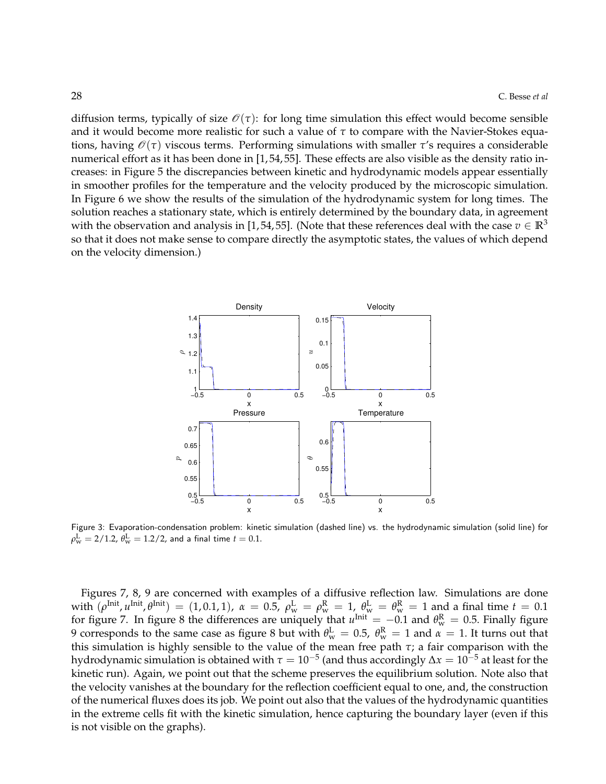diffusion terms, typically of size  $\mathcal{O}(\tau)$ : for long time simulation this effect would become sensible and it would become more realistic for such a value of *τ* to compare with the Navier-Stokes equations, having  $\mathcal{O}(\tau)$  viscous terms. Performing simulations with smaller  $\tau$ 's requires a considerable numerical effort as it has been done in [1, 54, 55]. These effects are also visible as the density ratio increases: in Figure 5 the discrepancies between kinetic and hydrodynamic models appear essentially in smoother profiles for the temperature and the velocity produced by the microscopic simulation. In Figure 6 we show the results of the simulation of the hydrodynamic system for long times. The solution reaches a stationary state, which is entirely determined by the boundary data, in agreement with the observation and analysis in [1,54, 55]. (Note that these references deal with the case  $v \in \mathbb{R}^3$ so that it does not make sense to compare directly the asymptotic states, the values of which depend on the velocity dimension.)



Figure 3: Evaporation-condensation problem: kinetic simulation (dashed line) vs. the hydrodynamic simulation (solid line) for  $\rho_{\rm w}^{\rm L} = 2/1.2$ ,  $\theta_{\rm w}^{\rm L} = 1.2/2$ , and a final time  $t=0.1$ .

Figures 7, 8, 9 are concerned with examples of a diffusive reflection law. Simulations are done with  $(\rho^{\text{Init}}, u^{\text{Init}}, \theta^{\text{Init}}) = (1, 0.1, 1), \ \alpha = 0.5, \ \rho^{\text{L}}_{w} = \rho^{\text{R}}_{w} = 1, \ \theta^{\text{L}}_{w} = \theta^{\text{R}}_{w} = 1$  and a final time  $t = 0.1$ for figure 7. In figure 8 the differences are uniquely that  $u^{\text{Init}} = -0.1$  and  $\theta_{w}^{R} = 0.5$ . Finally figure 9 corresponds to the same case as figure 8 but with  $\theta_{\rm w}^{\rm L}=$  0.5,  $\theta_{\rm w}^{\rm R}=$  1 and  $\alpha=$  1. It turns out that this simulation is highly sensible to the value of the mean free path *τ*; a fair comparison with the hydrodynamic simulation is obtained with  $\tau=10^{-5}$  (and thus accordingly  $\Delta x=10^{-5}$  at least for the kinetic run). Again, we point out that the scheme preserves the equilibrium solution. Note also that the velocity vanishes at the boundary for the reflection coefficient equal to one, and, the construction of the numerical fluxes does its job. We point out also that the values of the hydrodynamic quantities in the extreme cells fit with the kinetic simulation, hence capturing the boundary layer (even if this is not visible on the graphs).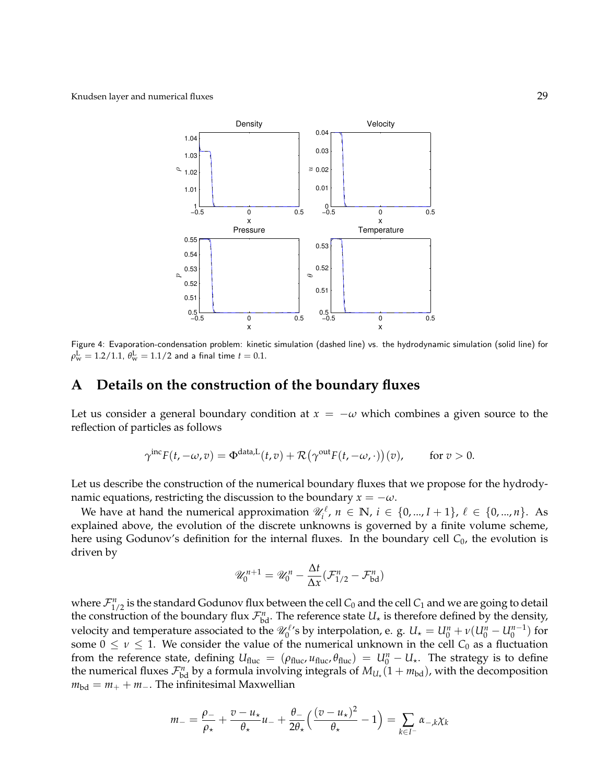

Figure 4: Evaporation-condensation problem: kinetic simulation (dashed line) vs. the hydrodynamic simulation (solid line) for  $\rho_{\rm w}^{\rm L} = 1.2/1.1$ ,  $\theta_{\rm w}^{\rm L} = 1.1/2$  and a final time  $t=0.1.$ 

## **A Details on the construction of the boundary fluxes**

Let us consider a general boundary condition at  $x = -\omega$  which combines a given source to the reflection of particles as follows

$$
\gamma^{\text{inc}} F(t, -\omega, v) = \Phi^{\text{data}, L}(t, v) + \mathcal{R}(\gamma^{\text{out}} F(t, -\omega, \cdot))(v), \quad \text{for } v > 0.
$$

Let us describe the construction of the numerical boundary fluxes that we propose for the hydrodynamic equations, restricting the discussion to the boundary  $x = -\omega$ .

We have at hand the numerical approximation  $\mathscr{U}_i^{\ell}$ ,  $n \in \mathbb{N}$ ,  $i \in \{0, ..., I+1\}$ ,  $\ell \in \{0, ..., n\}$ . As explained above, the evolution of the discrete unknowns is governed by a finite volume scheme, here using Godunov's definition for the internal fluxes. In the boundary cell C<sub>0</sub>, the evolution is driven by

$$
\mathscr{U}_0^{n+1} = \mathscr{U}_0^n - \frac{\Delta t}{\Delta x} (\mathcal{F}_{1/2}^n - \mathcal{F}_{\text{bd}}^n)
$$

where  $\mathcal{F}^n_{1/2}$  is the standard Godunov flux between the cell  $C_0$  and the cell  $C_1$  and we are going to detail the construction of the boundary flux  $\mathcal{F}_{bd}^n$ . The reference state  $U_{\star}$  is therefore defined by the density, velocity and temperature associated to the  $\mathscr{U}_0^{\ell}$ 's by interpolation, e. g.  $U_\star = U_0^n + \nu(U_0^n-U_0^{n-1})$  for some  $0 \leq \nu \leq 1$ . We consider the value of the numerical unknown in the cell  $C_0$  as a fluctuation from the reference state, defining  $U_{\text{fluc}} = (\rho_{\text{fluc}}, u_{\text{fluc}}, \theta_{\text{fluc}}) = U_0^n - U_*$ . The strategy is to define the numerical fluxes  $\mathcal{F}_{bd}^n$  by a formula involving integrals of  $M_{U_\star}(1+m_{bd})$ , with the decomposition  $m_{\text{bd}} = m_+ + m_-.$  The infinitesimal Maxwellian

$$
m_{-} = \frac{\rho_{-}}{\rho_{\star}} + \frac{v - u_{\star}}{\theta_{\star}} u_{-} + \frac{\theta_{-}}{2\theta_{\star}} \left( \frac{(v - u_{\star})^2}{\theta_{\star}} - 1 \right) = \sum_{k \in I^{-}} \alpha_{-k} \chi_{k}
$$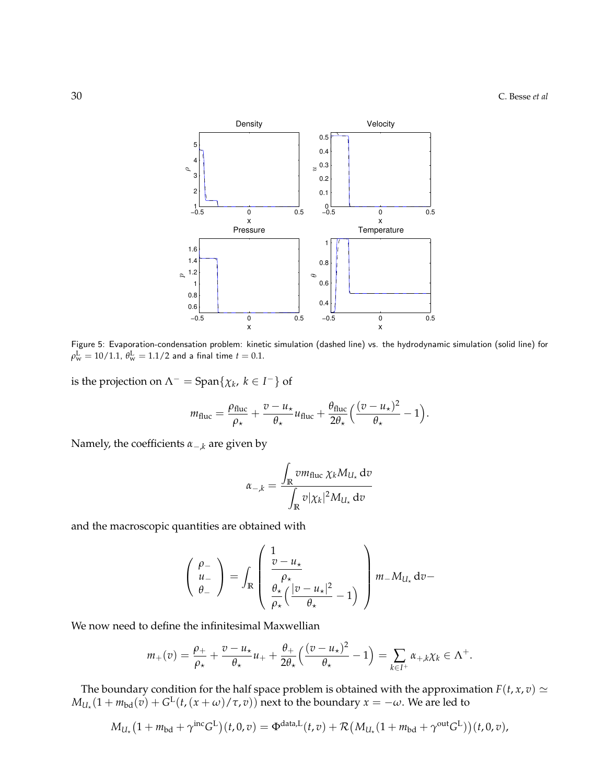

Figure 5: Evaporation-condensation problem: kinetic simulation (dashed line) vs. the hydrodynamic simulation (solid line) for  $\rho_{\rm w}^{\rm L} = 10/1.1$ ,  $\theta_{\rm w}^{\rm L} = 1.1/2$  and a final time  $t=0.1.$ 

is the projection on  $\Lambda^-$  = Span $\{\chi_k, k \in I^-\}$  of

$$
m_{\text{fluc}} = \frac{\rho_{\text{fluc}}}{\rho_{\star}} + \frac{v - u_{\star}}{\theta_{\star}} u_{\text{fluc}} + \frac{\theta_{\text{fluc}}}{2\theta_{\star}} \left( \frac{(v - u_{\star})^2}{\theta_{\star}} - 1 \right).
$$

Namely, the coefficients *α*−,*<sup>k</sup>* are given by

$$
\alpha_{-,k} = \frac{\int_{\mathbb{R}} v m_{\text{fluc}} \, \chi_k M_{U_\star} \, \text{d}v}{\int_{\mathbb{R}} v |\chi_k|^2 M_{U_\star} \, \text{d}v}
$$

and the macroscopic quantities are obtained with

$$
\begin{pmatrix}\n\rho_{-} \\
u_{-} \\
\theta_{-}\n\end{pmatrix} = \int_{\mathbb{R}} \begin{pmatrix}\n1 & & & \\
\frac{\partial - u_{+}}{\rho_{+}} & & \\
\frac{\partial_{+}}{\rho_{+}} (\frac{|\nu - u_{+}|^{2}}{\rho_{+}} - 1) & \\
\frac{\partial_{+}}{\rho_{+}} (\frac{|\nu - u_{+}|^{2}}{\rho_{+}} - 1)\n\end{pmatrix} m_{-} M_{U_{+}} \, \mathrm{d}v -
$$

We now need to define the infinitesimal Maxwellian

$$
m_+(v)=\frac{\rho_+}{\rho_\star}+\frac{v-u_\star}{\theta_\star}u_++\frac{\theta_+}{2\theta_\star}\Big(\frac{(v-u_\star)^2}{\theta_\star}-1\Big)=\sum_{k\in I^+}\alpha_{+,k}\chi_k\in\Lambda^+.
$$

The boundary condition for the half space problem is obtained with the approximation  $F(t, x, v) \simeq$  $M_{U_\star}(1 + m_\text{bd}(v) + G^{\text{L}}(t,(x + \omega)/\tau,v))$  next to the boundary  $x = -\omega$ . We are led to

$$
M_{U_{\star}}\big(1+m_{\text{bd}}+\gamma^{\text{inc}}G^{\text{L}}\big)(t,0,v)=\Phi^{\text{data,L}}(t,v)+\mathcal{R}\big(M_{U_{\star}}(1+m_{\text{bd}}+\gamma^{\text{out}}G^{\text{L}})\big)(t,0,v),
$$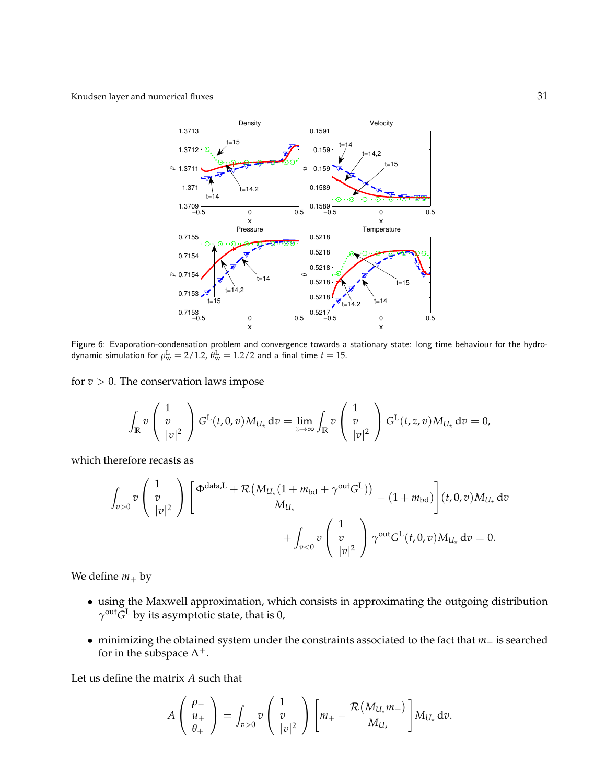

Figure 6: Evaporation-condensation problem and convergence towards a stationary state: long time behaviour for the hydrodynamic simulation for  $\rho_{\rm w}^{\rm L} = 2/1.2$ ,  $\theta_{\rm w}^{\rm L} = 1.2/2$  and a final time  $t=15$ .

for  $v > 0$ . The conservation laws impose

$$
\int_{\mathbb{R}} v\begin{pmatrix}1\\v\\|v|^2\end{pmatrix} G^{\mathcal{L}}(t,0,v) M_{U_{\star}} dv = \lim_{z\to\infty} \int_{\mathbb{R}} v\begin{pmatrix}1\\v\\|v|^2\end{pmatrix} G^{\mathcal{L}}(t,z,v) M_{U_{\star}} dv = 0,
$$

which therefore recasts as

$$
\int_{v>0} v \begin{pmatrix} 1 \\ v \\ |v|^2 \end{pmatrix} \left[ \frac{\Phi^{\text{data},L} + \mathcal{R}\left(M_{U_\star}(1 + m_{bd} + \gamma^{\text{out}} G^L)\right)}{M_{U_\star}} - (1 + m_{bd}) \right] (t, 0, v) M_{U_\star} dv + \int_{v<0} v \begin{pmatrix} 1 \\ v \\ |v|^2 \end{pmatrix} \gamma^{\text{out}} G^L(t, 0, v) M_{U_\star} dv = 0.
$$

We define  $m_+$  by

- using the Maxwell approximation, which consists in approximating the outgoing distribution  $\gamma^\text{out} G^\text{L}$  by its asymptotic state, that is 0,
- minimizing the obtained system under the constraints associated to the fact that  $m_+$  is searched for in the subspace  $\Lambda^+$ .

Let us define the matrix *A* such that

$$
A\left(\begin{array}{c}\rho_+\\\nu_+\\\theta_+\end{array}\right)=\int_{v>0}v\left(\begin{array}{c}1\\\vphantom{-}v\\|v|^2\end{array}\right)\left[m_+-\frac{\mathcal{R}(M_{U_\star}m_+)}{M_{U_\star}}\right]M_{U_\star}\,\mathrm{d}v.
$$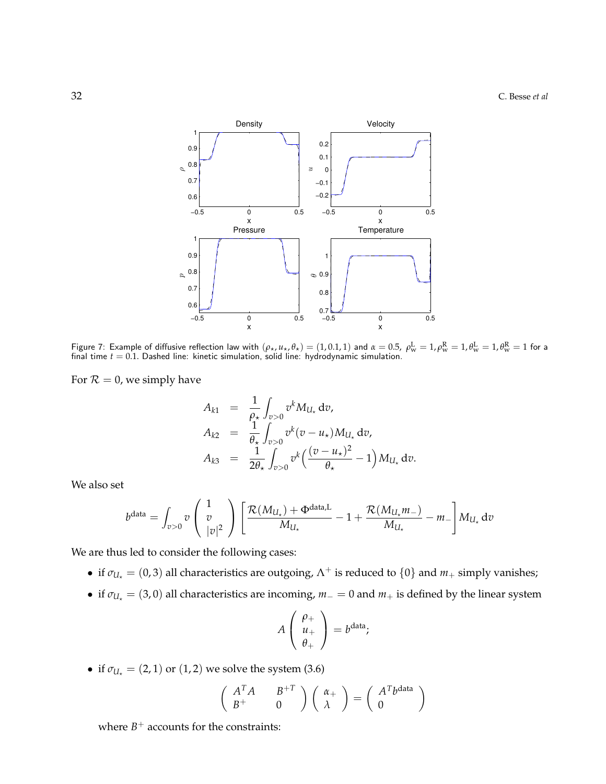

Figure 7: Example of diffusive reflection law with  $(\rho_\star, u_\star, \theta_\star) = (1, 0.1, 1)$  and  $\alpha = 0.5$ ,  $\rho_{\rm w}^{\rm L} = 1$ ,  $\rho_{\rm w}^{\rm R} = 1$ ,  $\theta_{\rm w}^{\rm L} = 1$ ,  $\theta_{\rm w}^{\rm R} = 1$  for a final time  $t = 0.1$ . Dashed line: kinetic simulation, solid line: hydrodynamic simulation.

For  $\mathcal{R} = 0$ , we simply have

$$
A_{k1} = \frac{1}{\rho_{\star}} \int_{v>0} v^{k} M_{U_{\star}} dv,
$$
  
\n
$$
A_{k2} = \frac{1}{\theta_{\star}} \int_{v>0} v^{k} (v - u_{\star}) M_{U_{\star}} dv,
$$
  
\n
$$
A_{k3} = \frac{1}{2\theta_{\star}} \int_{v>0} v^{k} \left( \frac{(v - u_{\star})^{2}}{\theta_{\star}} - 1 \right) M_{U_{\star}} dv.
$$

We also set

$$
b^{\text{data}} = \int_{v>0} v \begin{pmatrix} 1 \\ v \\ |v|^2 \end{pmatrix} \left[ \frac{\mathcal{R}(M_{U_\star}) + \Phi^{\text{data},L}}{M_{U_\star}} - 1 + \frac{\mathcal{R}(M_{U_\star}m_-)}{M_{U_\star}} - m_- \right] M_{U_\star} dv
$$

We are thus led to consider the following cases:

- if  $\sigma_{U_{\star}} = (0, 3)$  all characteristics are outgoing,  $\Lambda^{+}$  is reduced to  $\{0\}$  and  $m_{+}$  simply vanishes;
- if  $\sigma_{U_{\star}} = (3,0)$  all characteristics are incoming,  $m_0 = 0$  and  $m_+$  is defined by the linear system

$$
A\left(\begin{array}{c}\rho_+\\u_+\\\theta_+\end{array}\right)=b^{\text{data}};
$$

• if  $\sigma_{U_+} = (2, 1)$  or  $(1, 2)$  we solve the system  $(3.6)$ 

$$
\begin{pmatrix} A^T A & B^{+T} \\ B^{+} & 0 \end{pmatrix} \begin{pmatrix} \alpha_{+} \\ \lambda \end{pmatrix} = \begin{pmatrix} A^T b^{data} \\ 0 \end{pmatrix}
$$

where  $B^+$  accounts for the constraints: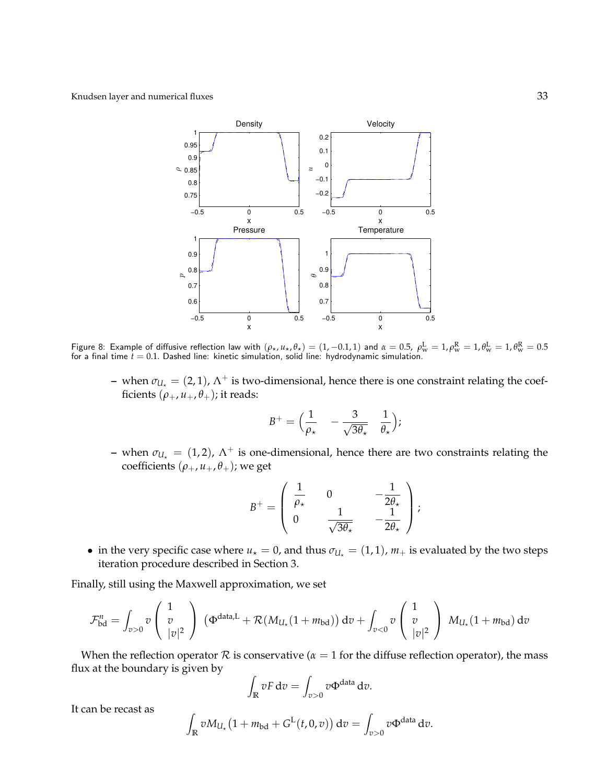

Figure 8: Example of diffusive reflection law with  $(\rho_\star,\mu_\star,\theta_\star)=(1,-0.1,1)$  and  $\alpha=0.5,~\rho_{\rm w}^{\rm L}=1,\rho_{\rm w}^{\rm R}=1,\theta_{\rm w}^{\rm L}=1,\theta_{\rm w}^{\rm R}=0.5$ for a final time  $t = 0.1$ . Dashed line: kinetic simulation, solid line: hydrodynamic simulation.

– when  $\sigma_{U_{\star}} = (2, 1)$ ,  $\Lambda^{+}$  is two-dimensional, hence there is one constraint relating the coefficients  $(\rho_+, u_+, \theta_+)$ ; it reads:

$$
B^+ = \Big(\frac{1}{\rho_\star} - \frac{3}{\sqrt{3\theta_\star}} \frac{1}{\theta_\star}\Big);
$$

– when  $\sigma_{U_{\star}} = (1, 2)$ ,  $\Lambda^{+}$  is one-dimensional, hence there are two constraints relating the coefficients  $(\rho_+, u_+, \theta_+)$ ; we get

$$
B^{+} = \begin{pmatrix} \frac{1}{\rho_{\star}} & 0 & -\frac{1}{2\theta_{\star}} \\ 0 & \frac{1}{\sqrt{3\theta_{\star}}} & -\frac{1}{2\theta_{\star}} \end{pmatrix};
$$

• in the very specific case where  $u<sub>\star</sub> = 0$ , and thus  $\sigma_{U<sub>\star</sub>} = (1, 1)$ ,  $m<sub>+</sub>$  is evaluated by the two steps iteration procedure described in Section 3.

Finally, still using the Maxwell approximation, we set

$$
\mathcal{F}_{\text{bd}}^n = \int_{v>0} v \begin{pmatrix} 1 \\ v \\ |v|^2 \end{pmatrix} (\Phi^{\text{data},L} + \mathcal{R}(M_{U_\star}(1+m_{\text{bd}})) dv + \int_{v<0} v \begin{pmatrix} 1 \\ v \\ |v|^2 \end{pmatrix} M_{U_\star}(1+m_{\text{bd}}) dv
$$

When the reflection operator  $R$  is conservative ( $\alpha = 1$  for the diffuse reflection operator), the mass flux at the boundary is given by

$$
\int_{\mathbb{R}} vF dv = \int_{v>0} v \Phi^{\text{data}} dv.
$$

It can be recast as

$$
\int_{\mathbb{R}} v M_{U_{\star}} \big(1 + m_{\text{bd}} + G^{\text{L}}(t, 0, v)\big) dv = \int_{v > 0} v \Phi^{\text{data}} dv.
$$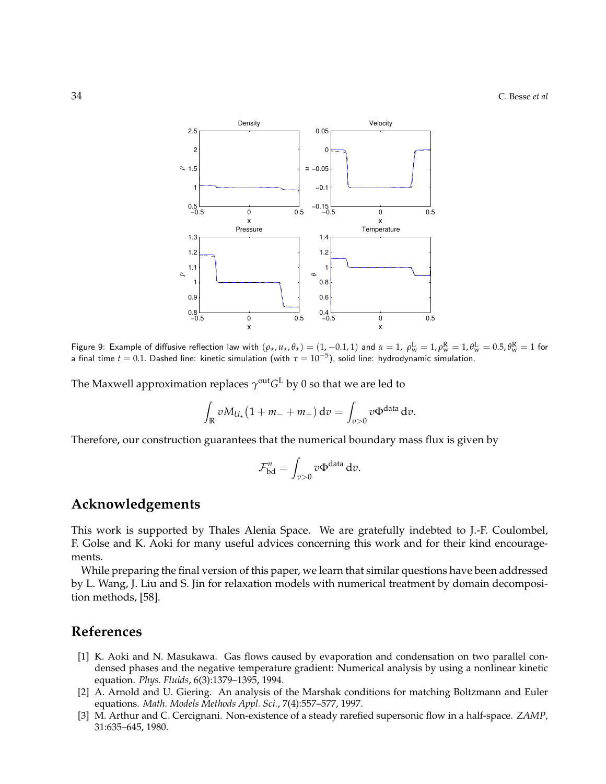

Figure 9: Example of diffusive reflection law with  $(\rho_\star,u_\star,\theta_\star)=(1,-0.1,1)$  and  $\alpha=1$ ,  $\rho_{\rm w}^{\rm L}=1$ , $\rho_{\rm w}^{\rm R}=1$ , $\theta_{\rm w}^{\rm L}=0.5$ , $\theta_{\rm w}^{\rm R}=1$  for a final time  $t=0.1$ . Dashed line: kinetic simulation (with  $\tau=10^{-5}$ ), solid line: hydrodynamic simulation.

The Maxwell approximation replaces  $\gamma^\text{out} G^\text{L}$  by 0 so that we are led to

$$
\int_{\mathbb{R}} v M_{U_{\star}} \left(1 + m_- + m_+\right) \mathrm{d}v = \int_{v > 0} v \Phi^{\text{data}} \mathrm{d}v.
$$

Therefore, our construction guarantees that the numerical boundary mass flux is given by

$$
\mathcal{F}_{\text{bd}}^n = \int_{v>0} v \Phi^{\text{data}} \, \mathrm{d}v.
$$

## **Acknowledgements**

This work is supported by Thales Alenia Space. We are gratefully indebted to J.-F. Coulombel, F. Golse and K. Aoki for many useful advices concerning this work and for their kind encouragements.

While preparing the final version of this paper, we learn that similar questions have been addressed by L. Wang, J. Liu and S. Jin for relaxation models with numerical treatment by domain decomposition methods, [58].

## **References**

- [1] K. Aoki and N. Masukawa. Gas flows caused by evaporation and condensation on two parallel condensed phases and the negative temperature gradient: Numerical analysis by using a nonlinear kinetic equation. *Phys. Fluids*, 6(3):1379–1395, 1994.
- [2] A. Arnold and U. Giering. An analysis of the Marshak conditions for matching Boltzmann and Euler equations. *Math. Models Methods Appl. Sci.*, 7(4):557–577, 1997.
- [3] M. Arthur and C. Cercignani. Non-existence of a steady rarefied supersonic flow in a half-space. *ZAMP*, 31:635–645, 1980.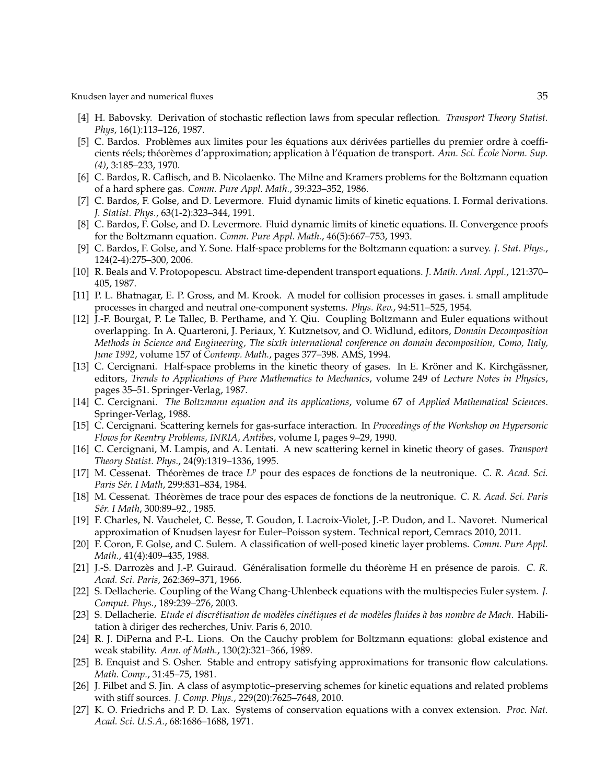- [4] H. Babovsky. Derivation of stochastic reflection laws from specular reflection. *Transport Theory Statist. Phys*, 16(1):113–126, 1987.
- [5] C. Bardos. Problèmes aux limites pour les équations aux dérivées partielles du premier ordre à coefficients réels; théorèmes d'approximation; application à l'équation de transport. Ann. Sci. École Norm. Sup. *(4)*, 3:185–233, 1970.
- [6] C. Bardos, R. Caflisch, and B. Nicolaenko. The Milne and Kramers problems for the Boltzmann equation of a hard sphere gas. *Comm. Pure Appl. Math.*, 39:323–352, 1986.
- [7] C. Bardos, F. Golse, and D. Levermore. Fluid dynamic limits of kinetic equations. I. Formal derivations. *J. Statist. Phys.*, 63(1-2):323–344, 1991.
- [8] C. Bardos, F. Golse, and D. Levermore. Fluid dynamic limits of kinetic equations. II. Convergence proofs for the Boltzmann equation. *Comm. Pure Appl. Math.*, 46(5):667–753, 1993.
- [9] C. Bardos, F. Golse, and Y. Sone. Half-space problems for the Boltzmann equation: a survey. *J. Stat. Phys.*, 124(2-4):275–300, 2006.
- [10] R. Beals and V. Protopopescu. Abstract time-dependent transport equations. *J. Math. Anal. Appl.*, 121:370– 405, 1987.
- [11] P. L. Bhatnagar, E. P. Gross, and M. Krook. A model for collision processes in gases. i. small amplitude processes in charged and neutral one-component systems. *Phys. Rev.*, 94:511–525, 1954.
- [12] J.-F. Bourgat, P. Le Tallec, B. Perthame, and Y. Qiu. Coupling Boltzmann and Euler equations without overlapping. In A. Quarteroni, J. Periaux, Y. Kutznetsov, and O. Widlund, editors, *Domain Decomposition Methods in Science and Engineering, The sixth international conference on domain decomposition, Como, Italy, June 1992*, volume 157 of *Contemp. Math.*, pages 377–398. AMS, 1994.
- [13] C. Cercignani. Half-space problems in the kinetic theory of gases. In E. Kröner and K. Kirchgässner, editors, *Trends to Applications of Pure Mathematics to Mechanics*, volume 249 of *Lecture Notes in Physics*, pages 35–51. Springer-Verlag, 1987.
- [14] C. Cercignani. *The Boltzmann equation and its applications*, volume 67 of *Applied Mathematical Sciences*. Springer-Verlag, 1988.
- [15] C. Cercignani. Scattering kernels for gas-surface interaction. In *Proceedings of the Workshop on Hypersonic Flows for Reentry Problems, INRIA, Antibes*, volume I, pages 9–29, 1990.
- [16] C. Cercignani, M. Lampis, and A. Lentati. A new scattering kernel in kinetic theory of gases. *Transport Theory Statist. Phys.*, 24(9):1319–1336, 1995.
- [17] M. Cessenat. Théorèmes de trace L<sup>p</sup> pour des espaces de fonctions de la neutronique. C. R. Acad. Sci. *Paris S´er. I Math*, 299:831–834, 1984.
- [18] M. Cessenat. Théorèmes de trace pour des espaces de fonctions de la neutronique. C. R. Acad. Sci. Paris *S´er. I Math*, 300:89–92., 1985.
- [19] F. Charles, N. Vauchelet, C. Besse, T. Goudon, I. Lacroix-Violet, J.-P. Dudon, and L. Navoret. Numerical approximation of Knudsen layesr for Euler–Poisson system. Technical report, Cemracs 2010, 2011.
- [20] F. Coron, F. Golse, and C. Sulem. A classification of well-posed kinetic layer problems. *Comm. Pure Appl. Math.*, 41(4):409–435, 1988.
- [21] J.-S. Darrozès and J.-P. Guiraud. Généralisation formelle du théorème H en présence de parois. C. R. *Acad. Sci. Paris*, 262:369–371, 1966.
- [22] S. Dellacherie. Coupling of the Wang Chang-Uhlenbeck equations with the multispecies Euler system. *J. Comput. Phys.*, 189:239–276, 2003.
- [23] S. Dellacherie. *Etude et discrétisation de modèles cinétiques et de modèles fluides à bas nombre de Mach*. Habilitation à diriger des recherches, Univ. Paris 6, 2010.
- [24] R. J. DiPerna and P.-L. Lions. On the Cauchy problem for Boltzmann equations: global existence and weak stability. *Ann. of Math.*, 130(2):321–366, 1989.
- [25] B. Enquist and S. Osher. Stable and entropy satisfying approximations for transonic flow calculations. *Math. Comp.*, 31:45–75, 1981.
- [26] J. Filbet and S. Jin. A class of asymptotic–preserving schemes for kinetic equations and related problems with stiff sources. *J. Comp. Phys.*, 229(20):7625–7648, 2010.
- [27] K. O. Friedrichs and P. D. Lax. Systems of conservation equations with a convex extension. *Proc. Nat. Acad. Sci. U.S.A.*, 68:1686–1688, 1971.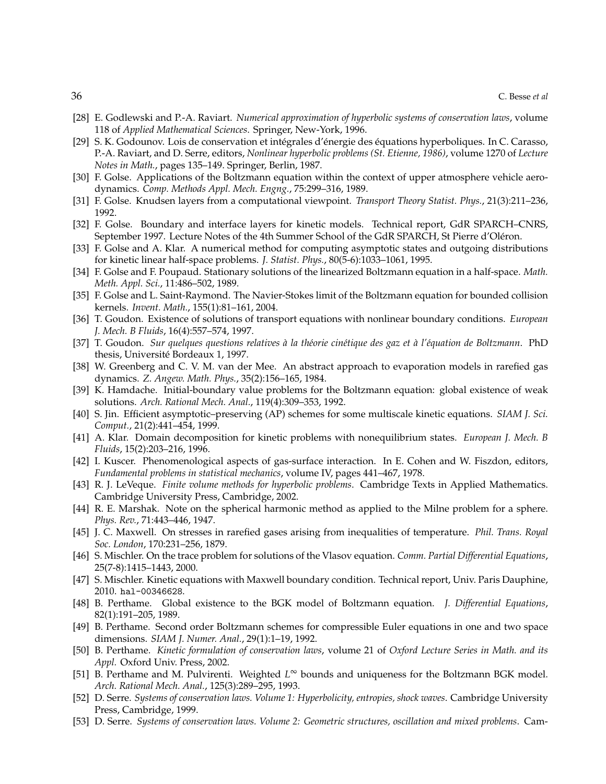- [28] E. Godlewski and P.-A. Raviart. *Numerical approximation of hyperbolic systems of conservation laws*, volume 118 of *Applied Mathematical Sciences*. Springer, New-York, 1996.
- [29] S. K. Godounov. Lois de conservation et intégrales d'énergie des équations hyperboliques. In C. Carasso, P.-A. Raviart, and D. Serre, editors, *Nonlinear hyperbolic problems (St. Etienne, 1986)*, volume 1270 of *Lecture Notes in Math.*, pages 135–149. Springer, Berlin, 1987.
- [30] F. Golse. Applications of the Boltzmann equation within the context of upper atmosphere vehicle aerodynamics. *Comp. Methods Appl. Mech. Engng.*, 75:299–316, 1989.
- [31] F. Golse. Knudsen layers from a computational viewpoint. *Transport Theory Statist. Phys.*, 21(3):211–236, 1992.
- [32] F. Golse. Boundary and interface layers for kinetic models. Technical report, GdR SPARCH–CNRS, September 1997. Lecture Notes of the 4th Summer School of the GdR SPARCH, St Pierre d'Oléron.
- [33] F. Golse and A. Klar. A numerical method for computing asymptotic states and outgoing distributions for kinetic linear half-space problems. *J. Statist. Phys.*, 80(5-6):1033–1061, 1995.
- [34] F. Golse and F. Poupaud. Stationary solutions of the linearized Boltzmann equation in a half-space. *Math. Meth. Appl. Sci.*, 11:486–502, 1989.
- [35] F. Golse and L. Saint-Raymond. The Navier-Stokes limit of the Boltzmann equation for bounded collision kernels. *Invent. Math.*, 155(1):81–161, 2004.
- [36] T. Goudon. Existence of solutions of transport equations with nonlinear boundary conditions. *European J. Mech. B Fluids*, 16(4):557–574, 1997.
- [37] T. Goudon. Sur quelques questions relatives à la théorie cinétique des gaz et à l'équation de Boltzmann. PhD thesis, Universite Bordeaux 1, 1997. ´
- [38] W. Greenberg and C. V. M. van der Mee. An abstract approach to evaporation models in rarefied gas dynamics. *Z. Angew. Math. Phys.*, 35(2):156–165, 1984.
- [39] K. Hamdache. Initial-boundary value problems for the Boltzmann equation: global existence of weak solutions. *Arch. Rational Mech. Anal.*, 119(4):309–353, 1992.
- [40] S. Jin. Efficient asymptotic–preserving (AP) schemes for some multiscale kinetic equations. *SIAM J. Sci. Comput.*, 21(2):441–454, 1999.
- [41] A. Klar. Domain decomposition for kinetic problems with nonequilibrium states. *European J. Mech. B Fluids*, 15(2):203–216, 1996.
- [42] I. Kuscer. Phenomenological aspects of gas-surface interaction. In E. Cohen and W. Fiszdon, editors, *Fundamental problems in statistical mechanics*, volume IV, pages 441–467, 1978.
- [43] R. J. LeVeque. *Finite volume methods for hyperbolic problems*. Cambridge Texts in Applied Mathematics. Cambridge University Press, Cambridge, 2002.
- [44] R. E. Marshak. Note on the spherical harmonic method as applied to the Milne problem for a sphere. *Phys. Rev.*, 71:443–446, 1947.
- [45] J. C. Maxwell. On stresses in rarefied gases arising from inequalities of temperature. *Phil. Trans. Royal Soc. London*, 170:231–256, 1879.
- [46] S. Mischler. On the trace problem for solutions of the Vlasov equation. *Comm. Partial Differential Equations*, 25(7-8):1415–1443, 2000.
- [47] S. Mischler. Kinetic equations with Maxwell boundary condition. Technical report, Univ. Paris Dauphine, 2010. hal-00346628.
- [48] B. Perthame. Global existence to the BGK model of Boltzmann equation. *J. Differential Equations*, 82(1):191–205, 1989.
- [49] B. Perthame. Second order Boltzmann schemes for compressible Euler equations in one and two space dimensions. *SIAM J. Numer. Anal.*, 29(1):1–19, 1992.
- [50] B. Perthame. *Kinetic formulation of conservation laws*, volume 21 of *Oxford Lecture Series in Math. and its Appl.* Oxford Univ. Press, 2002.
- [51] B. Perthame and M. Pulvirenti. Weighted *L* <sup>∞</sup> bounds and uniqueness for the Boltzmann BGK model. *Arch. Rational Mech. Anal.*, 125(3):289–295, 1993.
- [52] D. Serre. *Systems of conservation laws. Volume 1: Hyperbolicity, entropies, shock waves*. Cambridge University Press, Cambridge, 1999.
- [53] D. Serre. *Systems of conservation laws. Volume 2: Geometric structures, oscillation and mixed problems*. Cam-